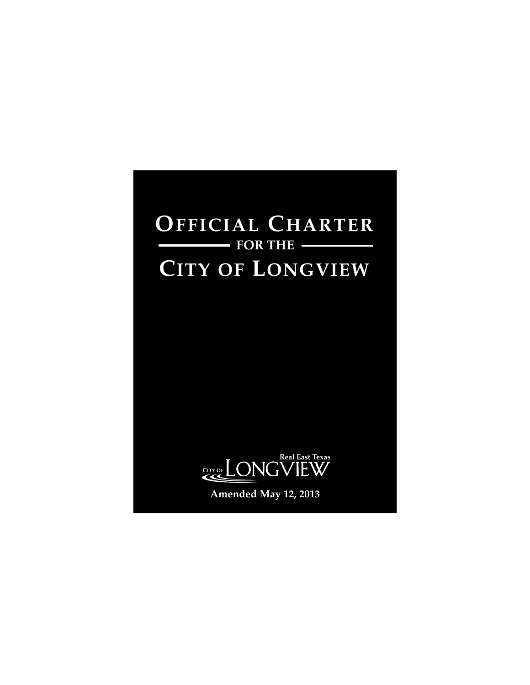# **OFFICIAL CHARTER CITY OF LONGVIEW FOR THE**



**Amended May 12, 2013**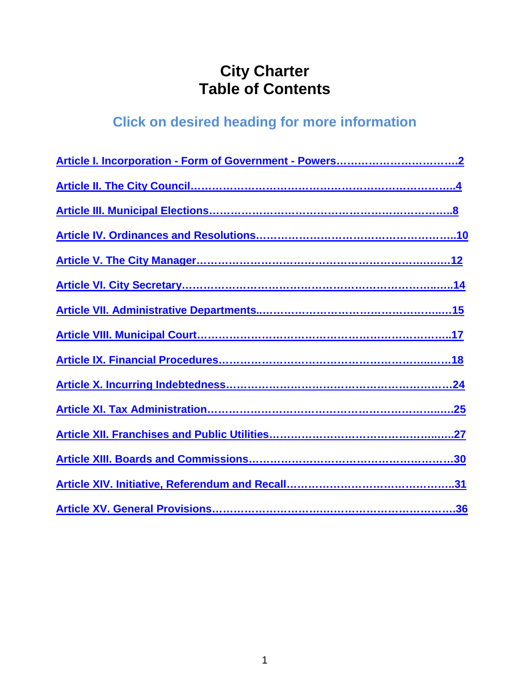## **City Charter Table of Contents**

## **Click on desired heading for more information**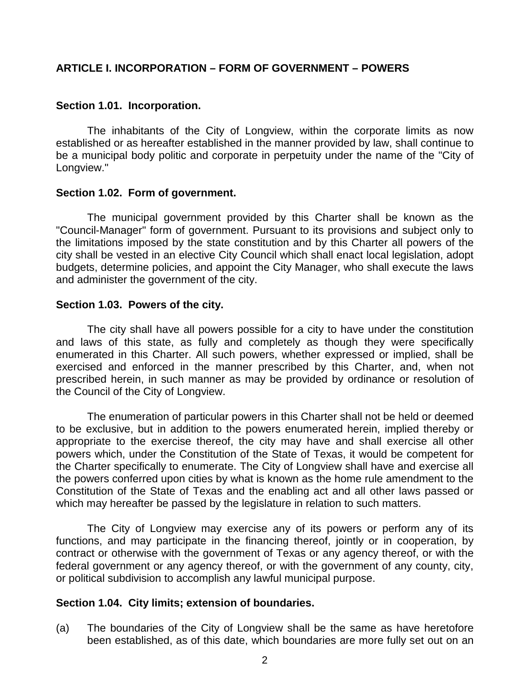## <span id="page-2-0"></span>**ARTICLE I. INCORPORATION – FORM OF GOVERNMENT – POWERS**

#### **Section 1.01. Incorporation.**

The inhabitants of the City of Longview, within the corporate limits as now established or as hereafter established in the manner provided by law, shall continue to be a municipal body politic and corporate in perpetuity under the name of the "City of Longview."

#### **Section 1.02. Form of government.**

The municipal government provided by this Charter shall be known as the "Council-Manager" form of government. Pursuant to its provisions and subject only to the limitations imposed by the state constitution and by this Charter all powers of the city shall be vested in an elective City Council which shall enact local legislation, adopt budgets, determine policies, and appoint the City Manager, who shall execute the laws and administer the government of the city.

#### **Section 1.03. Powers of the city.**

The city shall have all powers possible for a city to have under the constitution and laws of this state, as fully and completely as though they were specifically enumerated in this Charter. All such powers, whether expressed or implied, shall be exercised and enforced in the manner prescribed by this Charter, and, when not prescribed herein, in such manner as may be provided by ordinance or resolution of the Council of the City of Longview.

The enumeration of particular powers in this Charter shall not be held or deemed to be exclusive, but in addition to the powers enumerated herein, implied thereby or appropriate to the exercise thereof, the city may have and shall exercise all other powers which, under the Constitution of the State of Texas, it would be competent for the Charter specifically to enumerate. The City of Longview shall have and exercise all the powers conferred upon cities by what is known as the home rule amendment to the Constitution of the State of Texas and the enabling act and all other laws passed or which may hereafter be passed by the legislature in relation to such matters.

The City of Longview may exercise any of its powers or perform any of its functions, and may participate in the financing thereof, jointly or in cooperation, by contract or otherwise with the government of Texas or any agency thereof, or with the federal government or any agency thereof, or with the government of any county, city, or political subdivision to accomplish any lawful municipal purpose.

## **Section 1.04. City limits; extension of boundaries.**

(a) The boundaries of the City of Longview shall be the same as have heretofore been established, as of this date, which boundaries are more fully set out on an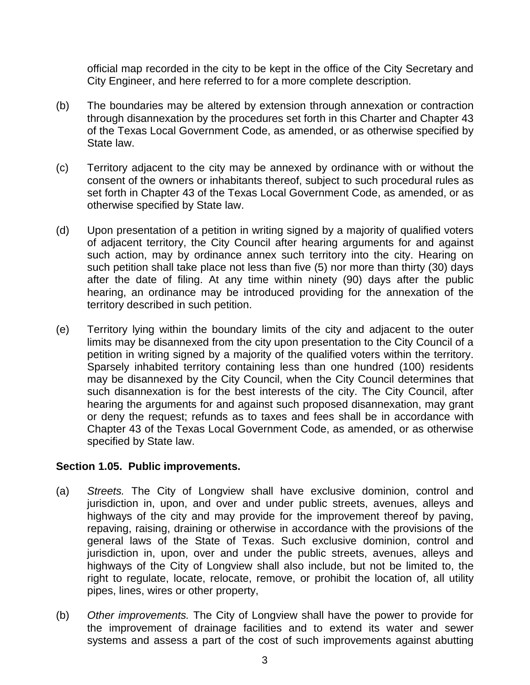official map recorded in the city to be kept in the office of the City Secretary and City Engineer, and here referred to for a more complete description.

- (b) The boundaries may be altered by extension through annexation or contraction through disannexation by the procedures set forth in this Charter and Chapter 43 of the Texas Local Government Code, as amended, or as otherwise specified by State law.
- (c) Territory adjacent to the city may be annexed by ordinance with or without the consent of the owners or inhabitants thereof, subject to such procedural rules as set forth in Chapter 43 of the Texas Local Government Code, as amended, or as otherwise specified by State law.
- (d) Upon presentation of a petition in writing signed by a majority of qualified voters of adjacent territory, the City Council after hearing arguments for and against such action, may by ordinance annex such territory into the city. Hearing on such petition shall take place not less than five (5) nor more than thirty (30) days after the date of filing. At any time within ninety (90) days after the public hearing, an ordinance may be introduced providing for the annexation of the territory described in such petition.
- (e) Territory lying within the boundary limits of the city and adjacent to the outer limits may be disannexed from the city upon presentation to the City Council of a petition in writing signed by a majority of the qualified voters within the territory. Sparsely inhabited territory containing less than one hundred (100) residents may be disannexed by the City Council, when the City Council determines that such disannexation is for the best interests of the city. The City Council, after hearing the arguments for and against such proposed disannexation, may grant or deny the request; refunds as to taxes and fees shall be in accordance with Chapter 43 of the Texas Local Government Code, as amended, or as otherwise specified by State law.

## **Section 1.05. Public improvements.**

- (a) *Streets.* The City of Longview shall have exclusive dominion, control and jurisdiction in, upon, and over and under public streets, avenues, alleys and highways of the city and may provide for the improvement thereof by paving, repaving, raising, draining or otherwise in accordance with the provisions of the general laws of the State of Texas. Such exclusive dominion, control and jurisdiction in, upon, over and under the public streets, avenues, alleys and highways of the City of Longview shall also include, but not be limited to, the right to regulate, locate, relocate, remove, or prohibit the location of, all utility pipes, lines, wires or other property,
- (b) *Other improvements.* The City of Longview shall have the power to provide for the improvement of drainage facilities and to extend its water and sewer systems and assess a part of the cost of such improvements against abutting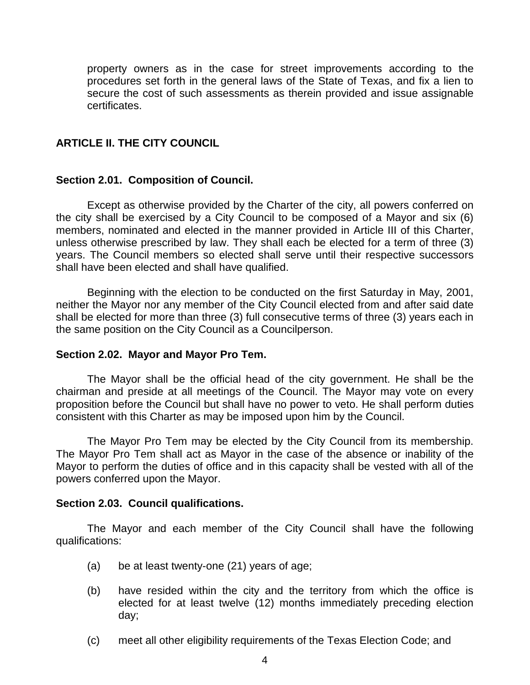property owners as in the case for street improvements according to the procedures set forth in the general laws of the State of Texas, and fix a lien to secure the cost of such assessments as therein provided and issue assignable certificates.

## <span id="page-4-0"></span>**ARTICLE II. THE CITY COUNCIL**

#### **Section 2.01. Composition of Council.**

Except as otherwise provided by the Charter of the city, all powers conferred on the city shall be exercised by a City Council to be composed of a Mayor and six (6) members, nominated and elected in the manner provided in Article III of this Charter, unless otherwise prescribed by law. They shall each be elected for a term of three (3) years. The Council members so elected shall serve until their respective successors shall have been elected and shall have qualified.

Beginning with the election to be conducted on the first Saturday in May, 2001, neither the Mayor nor any member of the City Council elected from and after said date shall be elected for more than three (3) full consecutive terms of three (3) years each in the same position on the City Council as a Councilperson.

#### **Section 2.02. Mayor and Mayor Pro Tem.**

The Mayor shall be the official head of the city government. He shall be the chairman and preside at all meetings of the Council. The Mayor may vote on every proposition before the Council but shall have no power to veto. He shall perform duties consistent with this Charter as may be imposed upon him by the Council.

The Mayor Pro Tem may be elected by the City Council from its membership. The Mayor Pro Tem shall act as Mayor in the case of the absence or inability of the Mayor to perform the duties of office and in this capacity shall be vested with all of the powers conferred upon the Mayor.

## **Section 2.03. Council qualifications.**

The Mayor and each member of the City Council shall have the following qualifications:

- (a) be at least twenty-one (21) years of age;
- (b) have resided within the city and the territory from which the office is elected for at least twelve (12) months immediately preceding election day;
- (c) meet all other eligibility requirements of the Texas Election Code; and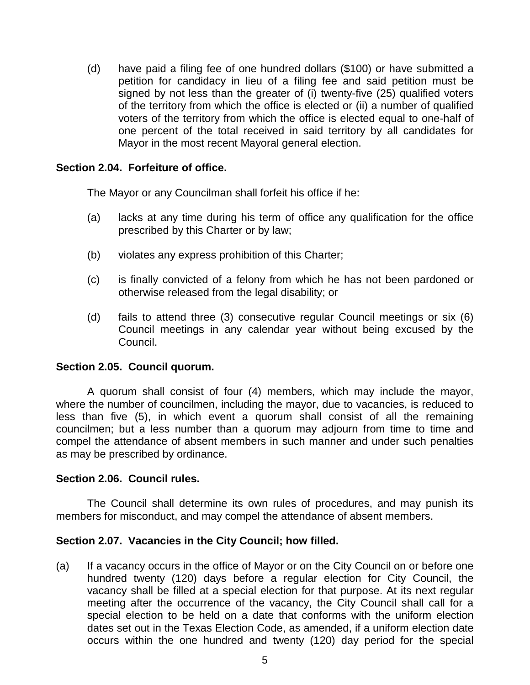(d) have paid a filing fee of one hundred dollars (\$100) or have submitted a petition for candidacy in lieu of a filing fee and said petition must be signed by not less than the greater of (i) twenty-five (25) qualified voters of the territory from which the office is elected or (ii) a number of qualified voters of the territory from which the office is elected equal to one-half of one percent of the total received in said territory by all candidates for Mayor in the most recent Mayoral general election.

## **Section 2.04. Forfeiture of office.**

The Mayor or any Councilman shall forfeit his office if he:

- (a) lacks at any time during his term of office any qualification for the office prescribed by this Charter or by law;
- (b) violates any express prohibition of this Charter;
- (c) is finally convicted of a felony from which he has not been pardoned or otherwise released from the legal disability; or
- (d) fails to attend three (3) consecutive regular Council meetings or six (6) Council meetings in any calendar year without being excused by the Council.

## **Section 2.05. Council quorum.**

A quorum shall consist of four (4) members, which may include the mayor, where the number of councilmen, including the mayor, due to vacancies, is reduced to less than five (5), in which event a quorum shall consist of all the remaining councilmen; but a less number than a quorum may adjourn from time to time and compel the attendance of absent members in such manner and under such penalties as may be prescribed by ordinance.

## **Section 2.06. Council rules.**

The Council shall determine its own rules of procedures, and may punish its members for misconduct, and may compel the attendance of absent members.

## **Section 2.07. Vacancies in the City Council; how filled.**

(a) If a vacancy occurs in the office of Mayor or on the City Council on or before one hundred twenty (120) days before a regular election for City Council, the vacancy shall be filled at a special election for that purpose. At its next regular meeting after the occurrence of the vacancy, the City Council shall call for a special election to be held on a date that conforms with the uniform election dates set out in the Texas Election Code, as amended, if a uniform election date occurs within the one hundred and twenty (120) day period for the special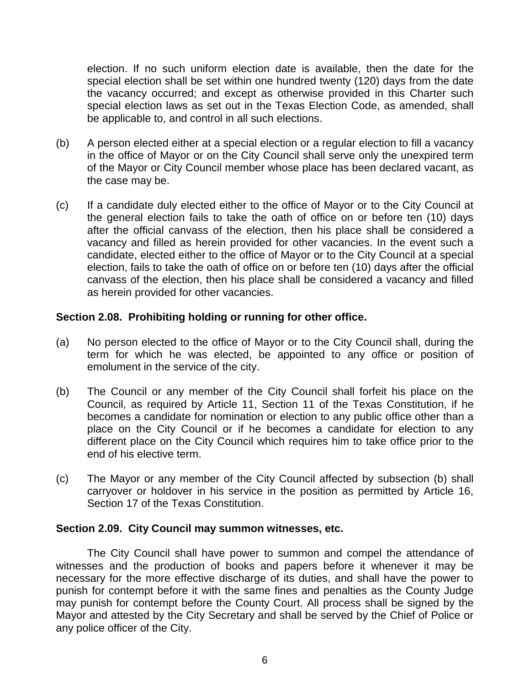election. If no such uniform election date is available, then the date for the special election shall be set within one hundred twenty (120) days from the date the vacancy occurred; and except as otherwise provided in this Charter such special election laws as set out in the Texas Election Code, as amended, shall be applicable to, and control in all such elections.

- (b) A person elected either at a special election or a regular election to fill a vacancy in the office of Mayor or on the City Council shall serve only the unexpired term of the Mayor or City Council member whose place has been declared vacant, as the case may be.
- (c) If a candidate duly elected either to the office of Mayor or to the City Council at the general election fails to take the oath of office on or before ten (10) days after the official canvass of the election, then his place shall be considered a vacancy and filled as herein provided for other vacancies. In the event such a candidate, elected either to the office of Mayor or to the City Council at a special election, fails to take the oath of office on or before ten (10) days after the official canvass of the election, then his place shall be considered a vacancy and filled as herein provided for other vacancies.

## **Section 2.08. Prohibiting holding or running for other office.**

- (a) No person elected to the office of Mayor or to the City Council shall, during the term for which he was elected, be appointed to any office or position of emolument in the service of the city.
- (b) The Council or any member of the City Council shall forfeit his place on the Council, as required by Article 11, Section 11 of the Texas Constitution, if he becomes a candidate for nomination or election to any public office other than a place on the City Council or if he becomes a candidate for election to any different place on the City Council which requires him to take office prior to the end of his elective term.
- (c) The Mayor or any member of the City Council affected by subsection (b) shall carryover or holdover in his service in the position as permitted by Article 16, Section 17 of the Texas Constitution.

## **Section 2.09. City Council may summon witnesses, etc.**

The City Council shall have power to summon and compel the attendance of witnesses and the production of books and papers before it whenever it may be necessary for the more effective discharge of its duties, and shall have the power to punish for contempt before it with the same fines and penalties as the County Judge may punish for contempt before the County Court. All process shall be signed by the Mayor and attested by the City Secretary and shall be served by the Chief of Police or any police officer of the City.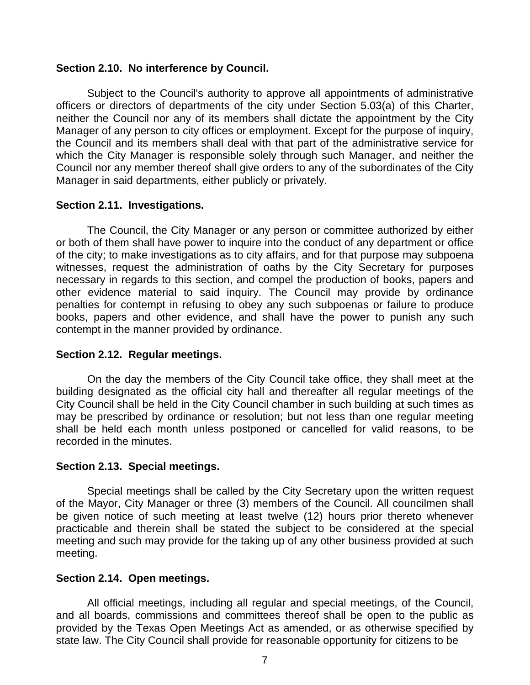## **Section 2.10. No interference by Council.**

Subject to the Council's authority to approve all appointments of administrative officers or directors of departments of the city under Section 5.03(a) of this Charter, neither the Council nor any of its members shall dictate the appointment by the City Manager of any person to city offices or employment. Except for the purpose of inquiry, the Council and its members shall deal with that part of the administrative service for which the City Manager is responsible solely through such Manager, and neither the Council nor any member thereof shall give orders to any of the subordinates of the City Manager in said departments, either publicly or privately.

## **Section 2.11. Investigations.**

The Council, the City Manager or any person or committee authorized by either or both of them shall have power to inquire into the conduct of any department or office of the city; to make investigations as to city affairs, and for that purpose may subpoena witnesses, request the administration of oaths by the City Secretary for purposes necessary in regards to this section, and compel the production of books, papers and other evidence material to said inquiry. The Council may provide by ordinance penalties for contempt in refusing to obey any such subpoenas or failure to produce books, papers and other evidence, and shall have the power to punish any such contempt in the manner provided by ordinance.

## **Section 2.12. Regular meetings.**

On the day the members of the City Council take office, they shall meet at the building designated as the official city hall and thereafter all regular meetings of the City Council shall be held in the City Council chamber in such building at such times as may be prescribed by ordinance or resolution; but not less than one regular meeting shall be held each month unless postponed or cancelled for valid reasons, to be recorded in the minutes.

## **Section 2.13. Special meetings.**

Special meetings shall be called by the City Secretary upon the written request of the Mayor, City Manager or three (3) members of the Council. All councilmen shall be given notice of such meeting at least twelve (12) hours prior thereto whenever practicable and therein shall be stated the subject to be considered at the special meeting and such may provide for the taking up of any other business provided at such meeting.

## **Section 2.14. Open meetings.**

All official meetings, including all regular and special meetings, of the Council, and all boards, commissions and committees thereof shall be open to the public as provided by the Texas Open Meetings Act as amended, or as otherwise specified by state law. The City Council shall provide for reasonable opportunity for citizens to be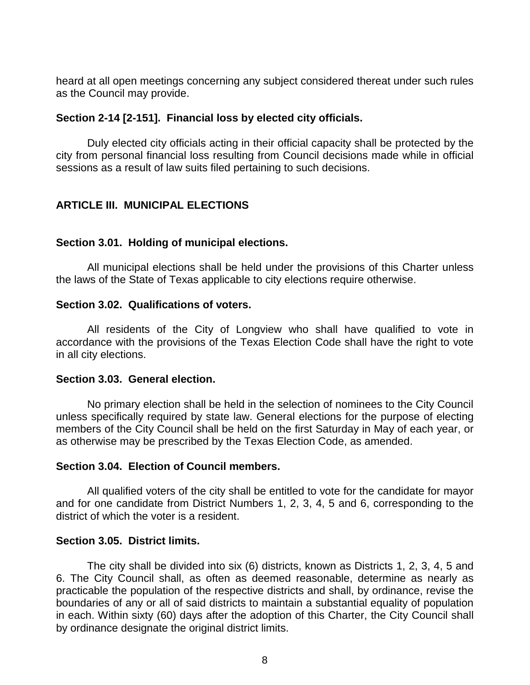heard at all open meetings concerning any subject considered thereat under such rules as the Council may provide.

## **Section 2-14 [2-151]. Financial loss by elected city officials.**

Duly elected city officials acting in their official capacity shall be protected by the city from personal financial loss resulting from Council decisions made while in official sessions as a result of law suits filed pertaining to such decisions.

## <span id="page-8-0"></span>**ARTICLE III. MUNICIPAL ELECTIONS**

## **Section 3.01. Holding of municipal elections.**

All municipal elections shall be held under the provisions of this Charter unless the laws of the State of Texas applicable to city elections require otherwise.

## **Section 3.02. Qualifications of voters.**

All residents of the City of Longview who shall have qualified to vote in accordance with the provisions of the Texas Election Code shall have the right to vote in all city elections.

## **Section 3.03. General election.**

No primary election shall be held in the selection of nominees to the City Council unless specifically required by state law. General elections for the purpose of electing members of the City Council shall be held on the first Saturday in May of each year, or as otherwise may be prescribed by the Texas Election Code, as amended.

## **Section 3.04. Election of Council members.**

All qualified voters of the city shall be entitled to vote for the candidate for mayor and for one candidate from District Numbers 1, 2, 3, 4, 5 and 6, corresponding to the district of which the voter is a resident.

## **Section 3.05. District limits.**

The city shall be divided into six (6) districts, known as Districts 1, 2, 3, 4, 5 and 6. The City Council shall, as often as deemed reasonable, determine as nearly as practicable the population of the respective districts and shall, by ordinance, revise the boundaries of any or all of said districts to maintain a substantial equality of population in each. Within sixty (60) days after the adoption of this Charter, the City Council shall by ordinance designate the original district limits.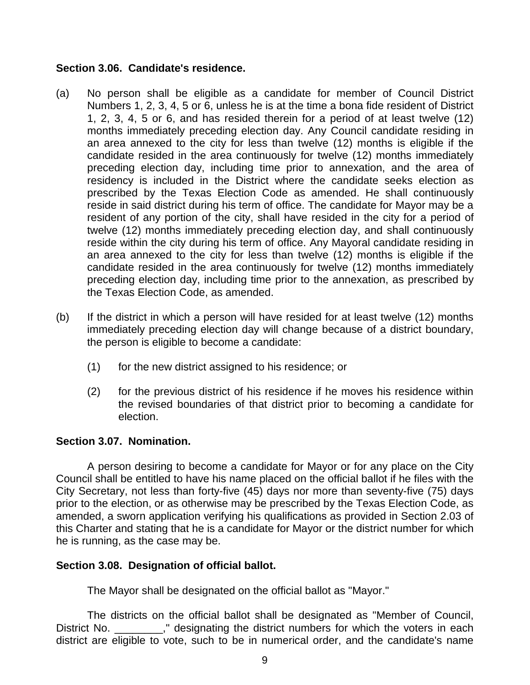## **Section 3.06. Candidate's residence.**

- (a) No person shall be eligible as a candidate for member of Council District Numbers 1, 2, 3, 4, 5 or 6, unless he is at the time a bona fide resident of District 1, 2, 3, 4, 5 or 6, and has resided therein for a period of at least twelve (12) months immediately preceding election day. Any Council candidate residing in an area annexed to the city for less than twelve (12) months is eligible if the candidate resided in the area continuously for twelve (12) months immediately preceding election day, including time prior to annexation, and the area of residency is included in the District where the candidate seeks election as prescribed by the Texas Election Code as amended. He shall continuously reside in said district during his term of office. The candidate for Mayor may be a resident of any portion of the city, shall have resided in the city for a period of twelve (12) months immediately preceding election day, and shall continuously reside within the city during his term of office. Any Mayoral candidate residing in an area annexed to the city for less than twelve (12) months is eligible if the candidate resided in the area continuously for twelve (12) months immediately preceding election day, including time prior to the annexation, as prescribed by the Texas Election Code, as amended.
- (b) If the district in which a person will have resided for at least twelve (12) months immediately preceding election day will change because of a district boundary, the person is eligible to become a candidate:
	- (1) for the new district assigned to his residence; or
	- (2) for the previous district of his residence if he moves his residence within the revised boundaries of that district prior to becoming a candidate for election.

## **Section 3.07. Nomination.**

A person desiring to become a candidate for Mayor or for any place on the City Council shall be entitled to have his name placed on the official ballot if he files with the City Secretary, not less than forty-five (45) days nor more than seventy-five (75) days prior to the election, or as otherwise may be prescribed by the Texas Election Code, as amended, a sworn application verifying his qualifications as provided in Section 2.03 of this Charter and stating that he is a candidate for Mayor or the district number for which he is running, as the case may be.

## **Section 3.08. Designation of official ballot.**

The Mayor shall be designated on the official ballot as "Mayor."

The districts on the official ballot shall be designated as "Member of Council, District No. **...** designating the district numbers for which the voters in each district are eligible to vote, such to be in numerical order, and the candidate's name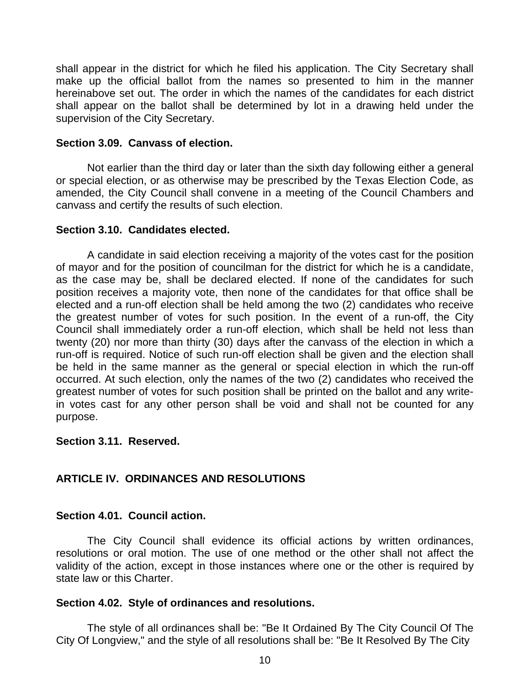shall appear in the district for which he filed his application. The City Secretary shall make up the official ballot from the names so presented to him in the manner hereinabove set out. The order in which the names of the candidates for each district shall appear on the ballot shall be determined by lot in a drawing held under the supervision of the City Secretary.

## **Section 3.09. Canvass of election.**

Not earlier than the third day or later than the sixth day following either a general or special election, or as otherwise may be prescribed by the Texas Election Code, as amended, the City Council shall convene in a meeting of the Council Chambers and canvass and certify the results of such election.

## **Section 3.10. Candidates elected.**

A candidate in said election receiving a majority of the votes cast for the position of mayor and for the position of councilman for the district for which he is a candidate, as the case may be, shall be declared elected. If none of the candidates for such position receives a majority vote, then none of the candidates for that office shall be elected and a run-off election shall be held among the two (2) candidates who receive the greatest number of votes for such position. In the event of a run-off, the City Council shall immediately order a run-off election, which shall be held not less than twenty (20) nor more than thirty (30) days after the canvass of the election in which a run-off is required. Notice of such run-off election shall be given and the election shall be held in the same manner as the general or special election in which the run-off occurred. At such election, only the names of the two (2) candidates who received the greatest number of votes for such position shall be printed on the ballot and any writein votes cast for any other person shall be void and shall not be counted for any purpose.

## **Section 3.11. Reserved.**

## <span id="page-10-0"></span>**ARTICLE IV. ORDINANCES AND RESOLUTIONS**

## **Section 4.01. Council action.**

The City Council shall evidence its official actions by written ordinances, resolutions or oral motion. The use of one method or the other shall not affect the validity of the action, except in those instances where one or the other is required by state law or this Charter.

## **Section 4.02. Style of ordinances and resolutions.**

The style of all ordinances shall be: "Be It Ordained By The City Council Of The City Of Longview," and the style of all resolutions shall be: "Be It Resolved By The City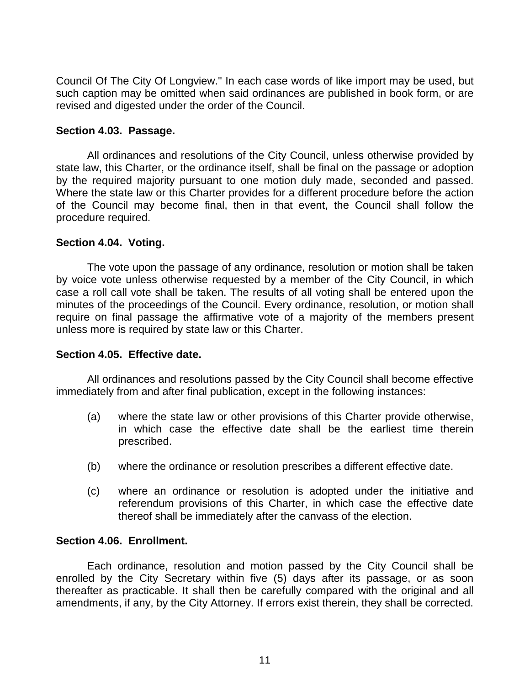Council Of The City Of Longview." In each case words of like import may be used, but such caption may be omitted when said ordinances are published in book form, or are revised and digested under the order of the Council.

## **Section 4.03. Passage.**

All ordinances and resolutions of the City Council, unless otherwise provided by state law, this Charter, or the ordinance itself, shall be final on the passage or adoption by the required majority pursuant to one motion duly made, seconded and passed. Where the state law or this Charter provides for a different procedure before the action of the Council may become final, then in that event, the Council shall follow the procedure required.

## **Section 4.04. Voting.**

The vote upon the passage of any ordinance, resolution or motion shall be taken by voice vote unless otherwise requested by a member of the City Council, in which case a roll call vote shall be taken. The results of all voting shall be entered upon the minutes of the proceedings of the Council. Every ordinance, resolution, or motion shall require on final passage the affirmative vote of a majority of the members present unless more is required by state law or this Charter.

## **Section 4.05. Effective date.**

All ordinances and resolutions passed by the City Council shall become effective immediately from and after final publication, except in the following instances:

- (a) where the state law or other provisions of this Charter provide otherwise, in which case the effective date shall be the earliest time therein prescribed.
- (b) where the ordinance or resolution prescribes a different effective date.
- (c) where an ordinance or resolution is adopted under the initiative and referendum provisions of this Charter, in which case the effective date thereof shall be immediately after the canvass of the election.

## **Section 4.06. Enrollment.**

Each ordinance, resolution and motion passed by the City Council shall be enrolled by the City Secretary within five (5) days after its passage, or as soon thereafter as practicable. It shall then be carefully compared with the original and all amendments, if any, by the City Attorney. If errors exist therein, they shall be corrected.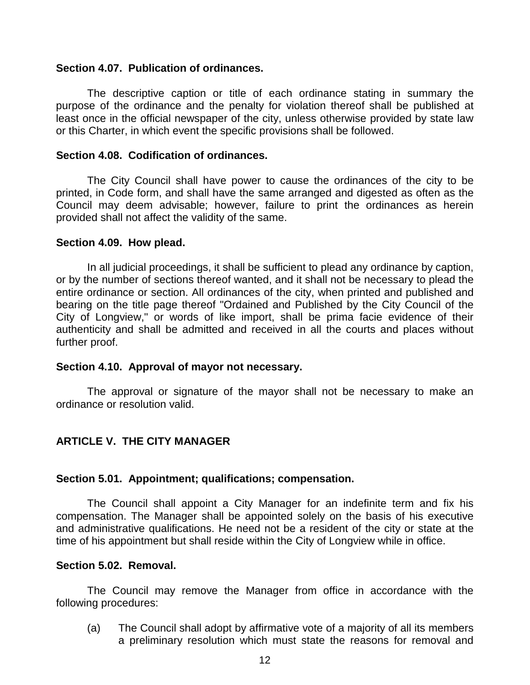#### **Section 4.07. Publication of ordinances.**

The descriptive caption or title of each ordinance stating in summary the purpose of the ordinance and the penalty for violation thereof shall be published at least once in the official newspaper of the city, unless otherwise provided by state law or this Charter, in which event the specific provisions shall be followed.

#### **Section 4.08. Codification of ordinances.**

The City Council shall have power to cause the ordinances of the city to be printed, in Code form, and shall have the same arranged and digested as often as the Council may deem advisable; however, failure to print the ordinances as herein provided shall not affect the validity of the same.

#### **Section 4.09. How plead.**

In all judicial proceedings, it shall be sufficient to plead any ordinance by caption, or by the number of sections thereof wanted, and it shall not be necessary to plead the entire ordinance or section. All ordinances of the city, when printed and published and bearing on the title page thereof "Ordained and Published by the City Council of the City of Longview," or words of like import, shall be prima facie evidence of their authenticity and shall be admitted and received in all the courts and places without further proof.

## **Section 4.10. Approval of mayor not necessary.**

The approval or signature of the mayor shall not be necessary to make an ordinance or resolution valid.

## <span id="page-12-0"></span>**ARTICLE V. THE CITY MANAGER**

## **Section 5.01. Appointment; qualifications; compensation.**

The Council shall appoint a City Manager for an indefinite term and fix his compensation. The Manager shall be appointed solely on the basis of his executive and administrative qualifications. He need not be a resident of the city or state at the time of his appointment but shall reside within the City of Longview while in office.

#### **Section 5.02. Removal.**

The Council may remove the Manager from office in accordance with the following procedures:

(a) The Council shall adopt by affirmative vote of a majority of all its members a preliminary resolution which must state the reasons for removal and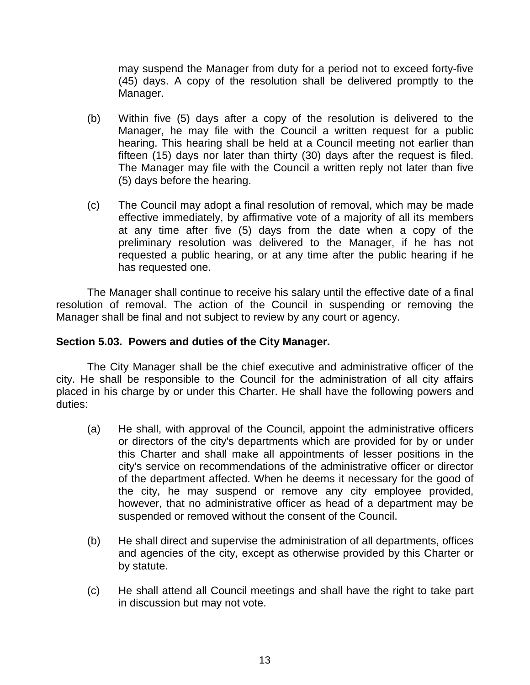may suspend the Manager from duty for a period not to exceed forty-five (45) days. A copy of the resolution shall be delivered promptly to the Manager.

- (b) Within five (5) days after a copy of the resolution is delivered to the Manager, he may file with the Council a written request for a public hearing. This hearing shall be held at a Council meeting not earlier than fifteen (15) days nor later than thirty (30) days after the request is filed. The Manager may file with the Council a written reply not later than five (5) days before the hearing.
- (c) The Council may adopt a final resolution of removal, which may be made effective immediately, by affirmative vote of a majority of all its members at any time after five (5) days from the date when a copy of the preliminary resolution was delivered to the Manager, if he has not requested a public hearing, or at any time after the public hearing if he has requested one.

The Manager shall continue to receive his salary until the effective date of a final resolution of removal. The action of the Council in suspending or removing the Manager shall be final and not subject to review by any court or agency.

## **Section 5.03. Powers and duties of the City Manager.**

The City Manager shall be the chief executive and administrative officer of the city. He shall be responsible to the Council for the administration of all city affairs placed in his charge by or under this Charter. He shall have the following powers and duties:

- (a) He shall, with approval of the Council, appoint the administrative officers or directors of the city's departments which are provided for by or under this Charter and shall make all appointments of lesser positions in the city's service on recommendations of the administrative officer or director of the department affected. When he deems it necessary for the good of the city, he may suspend or remove any city employee provided, however, that no administrative officer as head of a department may be suspended or removed without the consent of the Council.
- (b) He shall direct and supervise the administration of all departments, offices and agencies of the city, except as otherwise provided by this Charter or by statute.
- (c) He shall attend all Council meetings and shall have the right to take part in discussion but may not vote.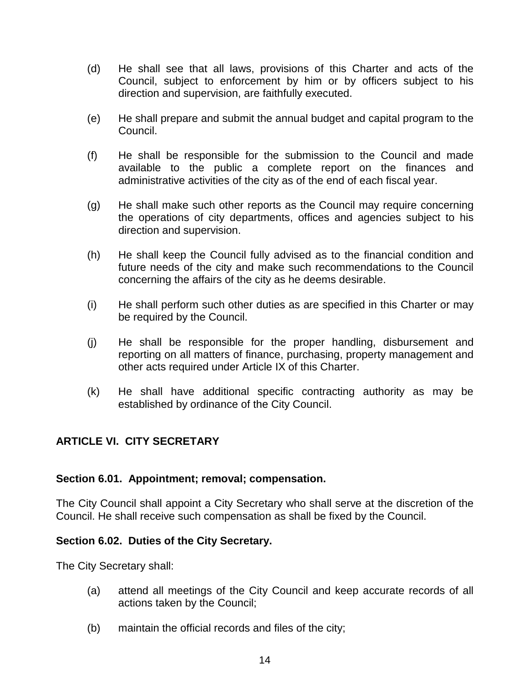- (d) He shall see that all laws, provisions of this Charter and acts of the Council, subject to enforcement by him or by officers subject to his direction and supervision, are faithfully executed.
- (e) He shall prepare and submit the annual budget and capital program to the Council.
- (f) He shall be responsible for the submission to the Council and made available to the public a complete report on the finances and administrative activities of the city as of the end of each fiscal year.
- (g) He shall make such other reports as the Council may require concerning the operations of city departments, offices and agencies subject to his direction and supervision.
- (h) He shall keep the Council fully advised as to the financial condition and future needs of the city and make such recommendations to the Council concerning the affairs of the city as he deems desirable.
- (i) He shall perform such other duties as are specified in this Charter or may be required by the Council.
- (j) He shall be responsible for the proper handling, disbursement and reporting on all matters of finance, purchasing, property management and other acts required under Article IX of this Charter.
- (k) He shall have additional specific contracting authority as may be established by ordinance of the City Council.

## <span id="page-14-0"></span>**ARTICLE VI. CITY SECRETARY**

## **Section 6.01. Appointment; removal; compensation.**

The City Council shall appoint a City Secretary who shall serve at the discretion of the Council. He shall receive such compensation as shall be fixed by the Council.

## **Section 6.02. Duties of the City Secretary.**

The City Secretary shall:

- (a) attend all meetings of the City Council and keep accurate records of all actions taken by the Council;
- (b) maintain the official records and files of the city;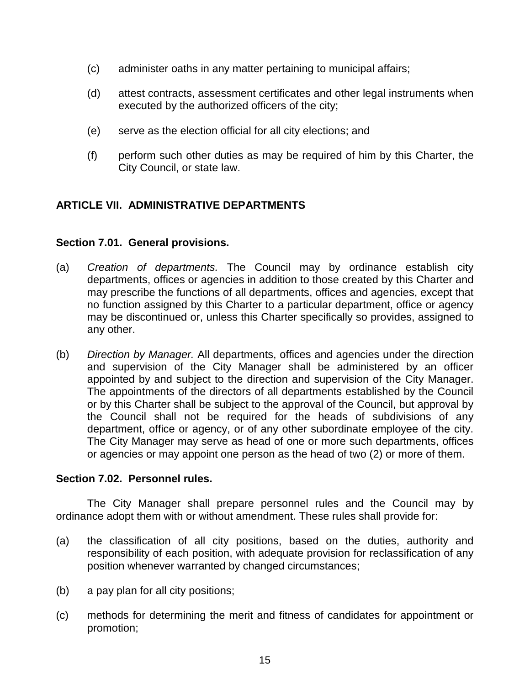- (c) administer oaths in any matter pertaining to municipal affairs;
- (d) attest contracts, assessment certificates and other legal instruments when executed by the authorized officers of the city;
- (e) serve as the election official for all city elections; and
- (f) perform such other duties as may be required of him by this Charter, the City Council, or state law.

## <span id="page-15-0"></span>**ARTICLE VII. ADMINISTRATIVE DEPARTMENTS**

## **Section 7.01. General provisions.**

- (a) *Creation of departments.* The Council may by ordinance establish city departments, offices or agencies in addition to those created by this Charter and may prescribe the functions of all departments, offices and agencies, except that no function assigned by this Charter to a particular department, office or agency may be discontinued or, unless this Charter specifically so provides, assigned to any other.
- (b) *Direction by Manager.* All departments, offices and agencies under the direction and supervision of the City Manager shall be administered by an officer appointed by and subject to the direction and supervision of the City Manager. The appointments of the directors of all departments established by the Council or by this Charter shall be subject to the approval of the Council, but approval by the Council shall not be required for the heads of subdivisions of any department, office or agency, or of any other subordinate employee of the city. The City Manager may serve as head of one or more such departments, offices or agencies or may appoint one person as the head of two (2) or more of them.

## **Section 7.02. Personnel rules.**

The City Manager shall prepare personnel rules and the Council may by ordinance adopt them with or without amendment. These rules shall provide for:

- (a) the classification of all city positions, based on the duties, authority and responsibility of each position, with adequate provision for reclassification of any position whenever warranted by changed circumstances;
- (b) a pay plan for all city positions;
- (c) methods for determining the merit and fitness of candidates for appointment or promotion;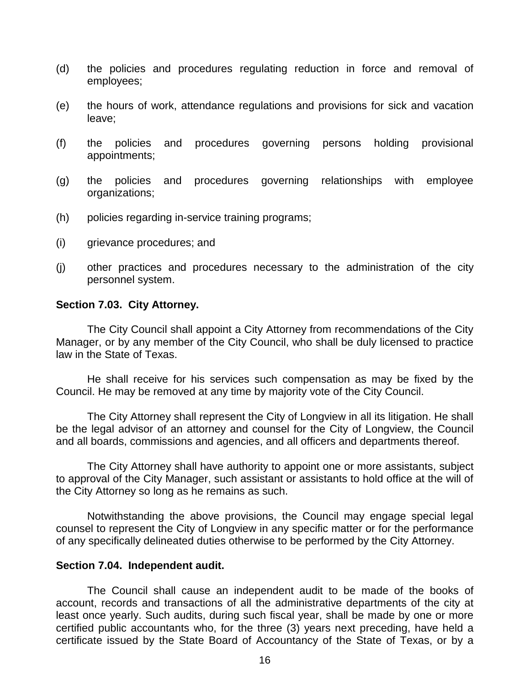- (d) the policies and procedures regulating reduction in force and removal of employees;
- (e) the hours of work, attendance regulations and provisions for sick and vacation leave;
- (f) the policies and procedures governing persons holding provisional appointments;
- (g) the policies and procedures governing relationships with employee organizations;
- (h) policies regarding in-service training programs;
- (i) grievance procedures; and
- (j) other practices and procedures necessary to the administration of the city personnel system.

#### **Section 7.03. City Attorney.**

The City Council shall appoint a City Attorney from recommendations of the City Manager, or by any member of the City Council, who shall be duly licensed to practice law in the State of Texas.

He shall receive for his services such compensation as may be fixed by the Council. He may be removed at any time by majority vote of the City Council.

The City Attorney shall represent the City of Longview in all its litigation. He shall be the legal advisor of an attorney and counsel for the City of Longview, the Council and all boards, commissions and agencies, and all officers and departments thereof.

The City Attorney shall have authority to appoint one or more assistants, subject to approval of the City Manager, such assistant or assistants to hold office at the will of the City Attorney so long as he remains as such.

Notwithstanding the above provisions, the Council may engage special legal counsel to represent the City of Longview in any specific matter or for the performance of any specifically delineated duties otherwise to be performed by the City Attorney.

#### **Section 7.04. Independent audit.**

The Council shall cause an independent audit to be made of the books of account, records and transactions of all the administrative departments of the city at least once yearly. Such audits, during such fiscal year, shall be made by one or more certified public accountants who, for the three (3) years next preceding, have held a certificate issued by the State Board of Accountancy of the State of Texas, or by a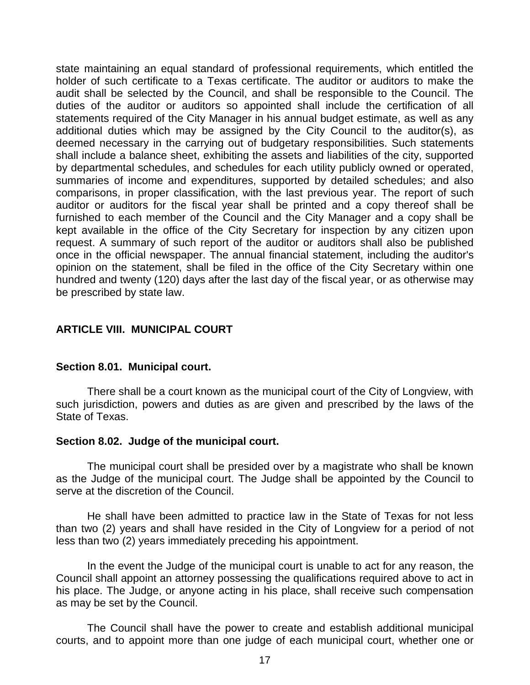state maintaining an equal standard of professional requirements, which entitled the holder of such certificate to a Texas certificate. The auditor or auditors to make the audit shall be selected by the Council, and shall be responsible to the Council. The duties of the auditor or auditors so appointed shall include the certification of all statements required of the City Manager in his annual budget estimate, as well as any additional duties which may be assigned by the City Council to the auditor(s), as deemed necessary in the carrying out of budgetary responsibilities. Such statements shall include a balance sheet, exhibiting the assets and liabilities of the city, supported by departmental schedules, and schedules for each utility publicly owned or operated, summaries of income and expenditures, supported by detailed schedules; and also comparisons, in proper classification, with the last previous year. The report of such auditor or auditors for the fiscal year shall be printed and a copy thereof shall be furnished to each member of the Council and the City Manager and a copy shall be kept available in the office of the City Secretary for inspection by any citizen upon request. A summary of such report of the auditor or auditors shall also be published once in the official newspaper. The annual financial statement, including the auditor's opinion on the statement, shall be filed in the office of the City Secretary within one hundred and twenty (120) days after the last day of the fiscal year, or as otherwise may be prescribed by state law.

## <span id="page-17-0"></span>**ARTICLE VIII. MUNICIPAL COURT**

## **Section 8.01. Municipal court.**

There shall be a court known as the municipal court of the City of Longview, with such jurisdiction, powers and duties as are given and prescribed by the laws of the State of Texas.

## **Section 8.02. Judge of the municipal court.**

The municipal court shall be presided over by a magistrate who shall be known as the Judge of the municipal court. The Judge shall be appointed by the Council to serve at the discretion of the Council.

He shall have been admitted to practice law in the State of Texas for not less than two (2) years and shall have resided in the City of Longview for a period of not less than two (2) years immediately preceding his appointment.

In the event the Judge of the municipal court is unable to act for any reason, the Council shall appoint an attorney possessing the qualifications required above to act in his place. The Judge, or anyone acting in his place, shall receive such compensation as may be set by the Council.

The Council shall have the power to create and establish additional municipal courts, and to appoint more than one judge of each municipal court, whether one or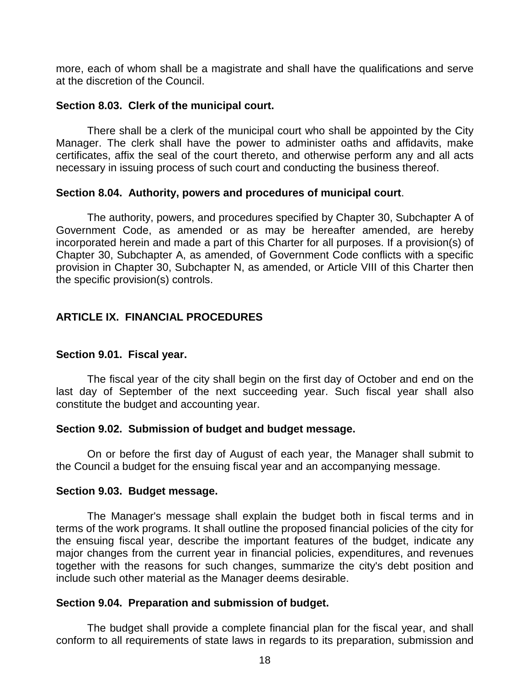more, each of whom shall be a magistrate and shall have the qualifications and serve at the discretion of the Council.

## **Section 8.03. Clerk of the municipal court.**

There shall be a clerk of the municipal court who shall be appointed by the City Manager. The clerk shall have the power to administer oaths and affidavits, make certificates, affix the seal of the court thereto, and otherwise perform any and all acts necessary in issuing process of such court and conducting the business thereof.

## **Section 8.04. Authority, powers and procedures of municipal court**.

The authority, powers, and procedures specified by Chapter 30, Subchapter A of Government Code, as amended or as may be hereafter amended, are hereby incorporated herein and made a part of this Charter for all purposes. If a provision(s) of Chapter 30, Subchapter A, as amended, of Government Code conflicts with a specific provision in Chapter 30, Subchapter N, as amended, or Article VIII of this Charter then the specific provision(s) controls.

## <span id="page-18-0"></span>**ARTICLE IX. FINANCIAL PROCEDURES**

## **Section 9.01. Fiscal year.**

The fiscal year of the city shall begin on the first day of October and end on the last day of September of the next succeeding year. Such fiscal year shall also constitute the budget and accounting year.

## **Section 9.02. Submission of budget and budget message.**

On or before the first day of August of each year, the Manager shall submit to the Council a budget for the ensuing fiscal year and an accompanying message.

## **Section 9.03. Budget message.**

The Manager's message shall explain the budget both in fiscal terms and in terms of the work programs. It shall outline the proposed financial policies of the city for the ensuing fiscal year, describe the important features of the budget, indicate any major changes from the current year in financial policies, expenditures, and revenues together with the reasons for such changes, summarize the city's debt position and include such other material as the Manager deems desirable.

## **Section 9.04. Preparation and submission of budget.**

The budget shall provide a complete financial plan for the fiscal year, and shall conform to all requirements of state laws in regards to its preparation, submission and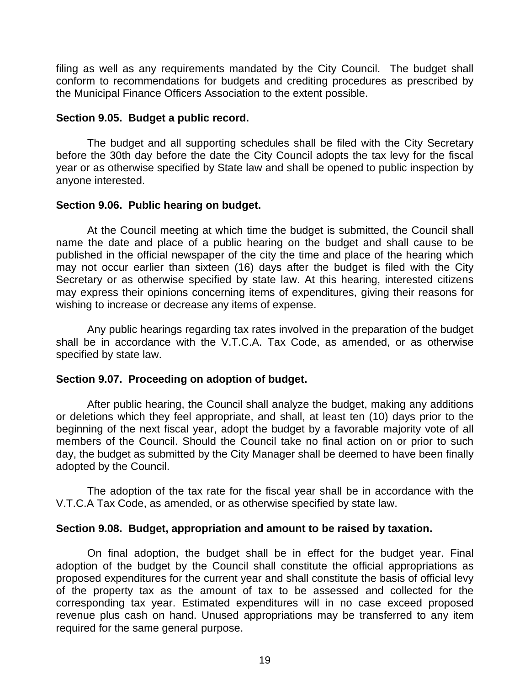filing as well as any requirements mandated by the City Council. The budget shall conform to recommendations for budgets and crediting procedures as prescribed by the Municipal Finance Officers Association to the extent possible.

## **Section 9.05. Budget a public record.**

The budget and all supporting schedules shall be filed with the City Secretary before the 30th day before the date the City Council adopts the tax levy for the fiscal year or as otherwise specified by State law and shall be opened to public inspection by anyone interested.

## **Section 9.06. Public hearing on budget.**

At the Council meeting at which time the budget is submitted, the Council shall name the date and place of a public hearing on the budget and shall cause to be published in the official newspaper of the city the time and place of the hearing which may not occur earlier than sixteen (16) days after the budget is filed with the City Secretary or as otherwise specified by state law. At this hearing, interested citizens may express their opinions concerning items of expenditures, giving their reasons for wishing to increase or decrease any items of expense.

Any public hearings regarding tax rates involved in the preparation of the budget shall be in accordance with the V.T.C.A. Tax Code, as amended, or as otherwise specified by state law.

## **Section 9.07. Proceeding on adoption of budget.**

After public hearing, the Council shall analyze the budget, making any additions or deletions which they feel appropriate, and shall, at least ten (10) days prior to the beginning of the next fiscal year, adopt the budget by a favorable majority vote of all members of the Council. Should the Council take no final action on or prior to such day, the budget as submitted by the City Manager shall be deemed to have been finally adopted by the Council.

The adoption of the tax rate for the fiscal year shall be in accordance with the V.T.C.A Tax Code, as amended, or as otherwise specified by state law.

## **Section 9.08. Budget, appropriation and amount to be raised by taxation.**

On final adoption, the budget shall be in effect for the budget year. Final adoption of the budget by the Council shall constitute the official appropriations as proposed expenditures for the current year and shall constitute the basis of official levy of the property tax as the amount of tax to be assessed and collected for the corresponding tax year. Estimated expenditures will in no case exceed proposed revenue plus cash on hand. Unused appropriations may be transferred to any item required for the same general purpose.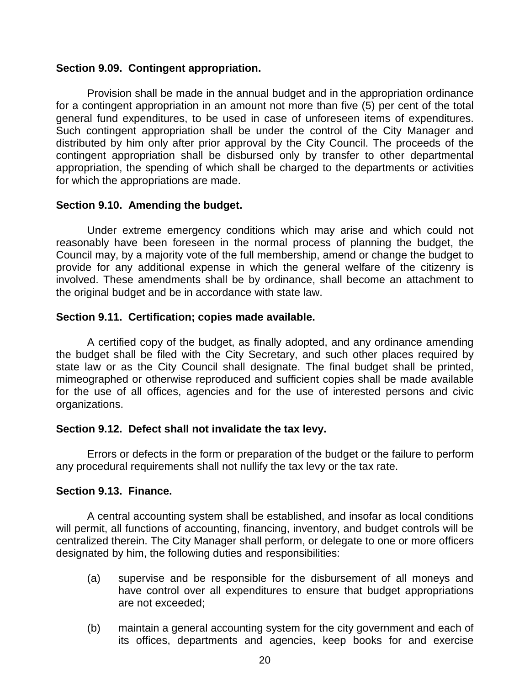## **Section 9.09. Contingent appropriation.**

Provision shall be made in the annual budget and in the appropriation ordinance for a contingent appropriation in an amount not more than five (5) per cent of the total general fund expenditures, to be used in case of unforeseen items of expenditures. Such contingent appropriation shall be under the control of the City Manager and distributed by him only after prior approval by the City Council. The proceeds of the contingent appropriation shall be disbursed only by transfer to other departmental appropriation, the spending of which shall be charged to the departments or activities for which the appropriations are made.

## **Section 9.10. Amending the budget.**

Under extreme emergency conditions which may arise and which could not reasonably have been foreseen in the normal process of planning the budget, the Council may, by a majority vote of the full membership, amend or change the budget to provide for any additional expense in which the general welfare of the citizenry is involved. These amendments shall be by ordinance, shall become an attachment to the original budget and be in accordance with state law.

## **Section 9.11. Certification; copies made available.**

A certified copy of the budget, as finally adopted, and any ordinance amending the budget shall be filed with the City Secretary, and such other places required by state law or as the City Council shall designate. The final budget shall be printed, mimeographed or otherwise reproduced and sufficient copies shall be made available for the use of all offices, agencies and for the use of interested persons and civic organizations.

## **Section 9.12. Defect shall not invalidate the tax levy.**

Errors or defects in the form or preparation of the budget or the failure to perform any procedural requirements shall not nullify the tax levy or the tax rate.

## **Section 9.13. Finance.**

A central accounting system shall be established, and insofar as local conditions will permit, all functions of accounting, financing, inventory, and budget controls will be centralized therein. The City Manager shall perform, or delegate to one or more officers designated by him, the following duties and responsibilities:

- (a) supervise and be responsible for the disbursement of all moneys and have control over all expenditures to ensure that budget appropriations are not exceeded;
- (b) maintain a general accounting system for the city government and each of its offices, departments and agencies, keep books for and exercise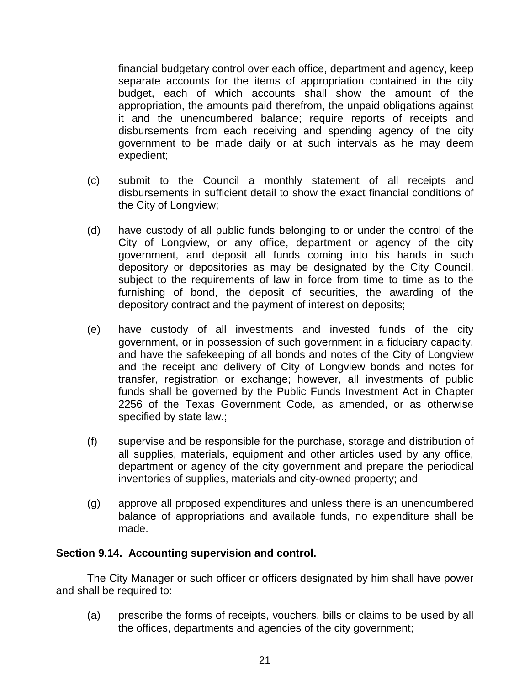financial budgetary control over each office, department and agency, keep separate accounts for the items of appropriation contained in the city budget, each of which accounts shall show the amount of the appropriation, the amounts paid therefrom, the unpaid obligations against it and the unencumbered balance; require reports of receipts and disbursements from each receiving and spending agency of the city government to be made daily or at such intervals as he may deem expedient;

- (c) submit to the Council a monthly statement of all receipts and disbursements in sufficient detail to show the exact financial conditions of the City of Longview;
- (d) have custody of all public funds belonging to or under the control of the City of Longview, or any office, department or agency of the city government, and deposit all funds coming into his hands in such depository or depositories as may be designated by the City Council, subject to the requirements of law in force from time to time as to the furnishing of bond, the deposit of securities, the awarding of the depository contract and the payment of interest on deposits;
- (e) have custody of all investments and invested funds of the city government, or in possession of such government in a fiduciary capacity, and have the safekeeping of all bonds and notes of the City of Longview and the receipt and delivery of City of Longview bonds and notes for transfer, registration or exchange; however, all investments of public funds shall be governed by the Public Funds Investment Act in Chapter 2256 of the Texas Government Code, as amended, or as otherwise specified by state law.;
- (f) supervise and be responsible for the purchase, storage and distribution of all supplies, materials, equipment and other articles used by any office, department or agency of the city government and prepare the periodical inventories of supplies, materials and city-owned property; and
- (g) approve all proposed expenditures and unless there is an unencumbered balance of appropriations and available funds, no expenditure shall be made.

## **Section 9.14. Accounting supervision and control.**

The City Manager or such officer or officers designated by him shall have power and shall be required to:

(a) prescribe the forms of receipts, vouchers, bills or claims to be used by all the offices, departments and agencies of the city government;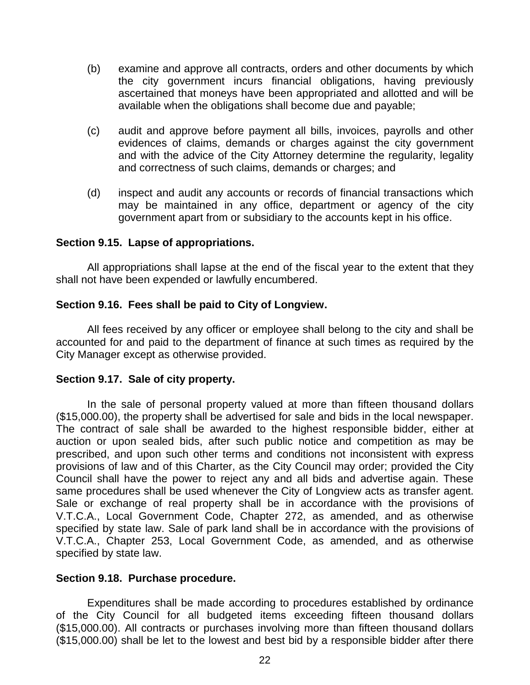- (b) examine and approve all contracts, orders and other documents by which the city government incurs financial obligations, having previously ascertained that moneys have been appropriated and allotted and will be available when the obligations shall become due and payable;
- (c) audit and approve before payment all bills, invoices, payrolls and other evidences of claims, demands or charges against the city government and with the advice of the City Attorney determine the regularity, legality and correctness of such claims, demands or charges; and
- (d) inspect and audit any accounts or records of financial transactions which may be maintained in any office, department or agency of the city government apart from or subsidiary to the accounts kept in his office.

## **Section 9.15. Lapse of appropriations.**

All appropriations shall lapse at the end of the fiscal year to the extent that they shall not have been expended or lawfully encumbered.

## **Section 9.16. Fees shall be paid to City of Longview.**

All fees received by any officer or employee shall belong to the city and shall be accounted for and paid to the department of finance at such times as required by the City Manager except as otherwise provided.

## **Section 9.17. Sale of city property.**

In the sale of personal property valued at more than fifteen thousand dollars (\$15,000.00), the property shall be advertised for sale and bids in the local newspaper. The contract of sale shall be awarded to the highest responsible bidder, either at auction or upon sealed bids, after such public notice and competition as may be prescribed, and upon such other terms and conditions not inconsistent with express provisions of law and of this Charter, as the City Council may order; provided the City Council shall have the power to reject any and all bids and advertise again. These same procedures shall be used whenever the City of Longview acts as transfer agent. Sale or exchange of real property shall be in accordance with the provisions of V.T.C.A., Local Government Code, Chapter 272, as amended, and as otherwise specified by state law. Sale of park land shall be in accordance with the provisions of V.T.C.A., Chapter 253, Local Government Code, as amended, and as otherwise specified by state law.

## **Section 9.18. Purchase procedure.**

Expenditures shall be made according to procedures established by ordinance of the City Council for all budgeted items exceeding fifteen thousand dollars (\$15,000.00). All contracts or purchases involving more than fifteen thousand dollars (\$15,000.00) shall be let to the lowest and best bid by a responsible bidder after there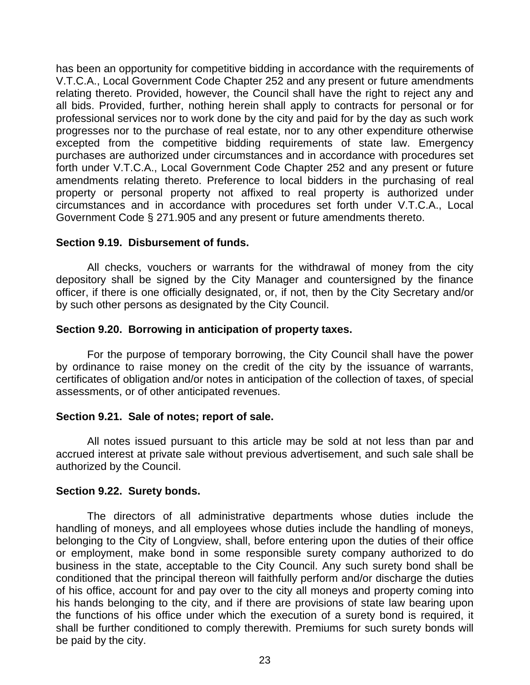has been an opportunity for competitive bidding in accordance with the requirements of V.T.C.A., Local Government Code Chapter 252 and any present or future amendments relating thereto. Provided, however, the Council shall have the right to reject any and all bids. Provided, further, nothing herein shall apply to contracts for personal or for professional services nor to work done by the city and paid for by the day as such work progresses nor to the purchase of real estate, nor to any other expenditure otherwise excepted from the competitive bidding requirements of state law. Emergency purchases are authorized under circumstances and in accordance with procedures set forth under V.T.C.A., Local Government Code Chapter 252 and any present or future amendments relating thereto. Preference to local bidders in the purchasing of real property or personal property not affixed to real property is authorized under circumstances and in accordance with procedures set forth under V.T.C.A., Local Government Code § 271.905 and any present or future amendments thereto.

## **Section 9.19. Disbursement of funds.**

All checks, vouchers or warrants for the withdrawal of money from the city depository shall be signed by the City Manager and countersigned by the finance officer, if there is one officially designated, or, if not, then by the City Secretary and/or by such other persons as designated by the City Council.

## **Section 9.20. Borrowing in anticipation of property taxes.**

For the purpose of temporary borrowing, the City Council shall have the power by ordinance to raise money on the credit of the city by the issuance of warrants, certificates of obligation and/or notes in anticipation of the collection of taxes, of special assessments, or of other anticipated revenues.

## **Section 9.21. Sale of notes; report of sale.**

All notes issued pursuant to this article may be sold at not less than par and accrued interest at private sale without previous advertisement, and such sale shall be authorized by the Council.

## **Section 9.22. Surety bonds.**

The directors of all administrative departments whose duties include the handling of moneys, and all employees whose duties include the handling of moneys, belonging to the City of Longview, shall, before entering upon the duties of their office or employment, make bond in some responsible surety company authorized to do business in the state, acceptable to the City Council. Any such surety bond shall be conditioned that the principal thereon will faithfully perform and/or discharge the duties of his office, account for and pay over to the city all moneys and property coming into his hands belonging to the city, and if there are provisions of state law bearing upon the functions of his office under which the execution of a surety bond is required, it shall be further conditioned to comply therewith. Premiums for such surety bonds will be paid by the city.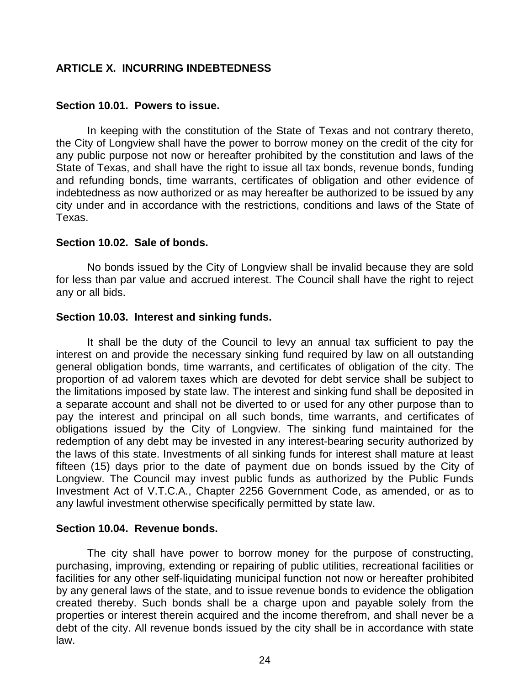## <span id="page-24-0"></span>**ARTICLE X. INCURRING INDEBTEDNESS**

## **Section 10.01. Powers to issue.**

In keeping with the constitution of the State of Texas and not contrary thereto, the City of Longview shall have the power to borrow money on the credit of the city for any public purpose not now or hereafter prohibited by the constitution and laws of the State of Texas, and shall have the right to issue all tax bonds, revenue bonds, funding and refunding bonds, time warrants, certificates of obligation and other evidence of indebtedness as now authorized or as may hereafter be authorized to be issued by any city under and in accordance with the restrictions, conditions and laws of the State of Texas.

#### **Section 10.02. Sale of bonds.**

No bonds issued by the City of Longview shall be invalid because they are sold for less than par value and accrued interest. The Council shall have the right to reject any or all bids.

## **Section 10.03. Interest and sinking funds.**

It shall be the duty of the Council to levy an annual tax sufficient to pay the interest on and provide the necessary sinking fund required by law on all outstanding general obligation bonds, time warrants, and certificates of obligation of the city. The proportion of ad valorem taxes which are devoted for debt service shall be subject to the limitations imposed by state law. The interest and sinking fund shall be deposited in a separate account and shall not be diverted to or used for any other purpose than to pay the interest and principal on all such bonds, time warrants, and certificates of obligations issued by the City of Longview. The sinking fund maintained for the redemption of any debt may be invested in any interest-bearing security authorized by the laws of this state. Investments of all sinking funds for interest shall mature at least fifteen (15) days prior to the date of payment due on bonds issued by the City of Longview. The Council may invest public funds as authorized by the Public Funds Investment Act of V.T.C.A., Chapter 2256 Government Code, as amended, or as to any lawful investment otherwise specifically permitted by state law.

## **Section 10.04. Revenue bonds.**

The city shall have power to borrow money for the purpose of constructing, purchasing, improving, extending or repairing of public utilities, recreational facilities or facilities for any other self-liquidating municipal function not now or hereafter prohibited by any general laws of the state, and to issue revenue bonds to evidence the obligation created thereby. Such bonds shall be a charge upon and payable solely from the properties or interest therein acquired and the income therefrom, and shall never be a debt of the city. All revenue bonds issued by the city shall be in accordance with state law.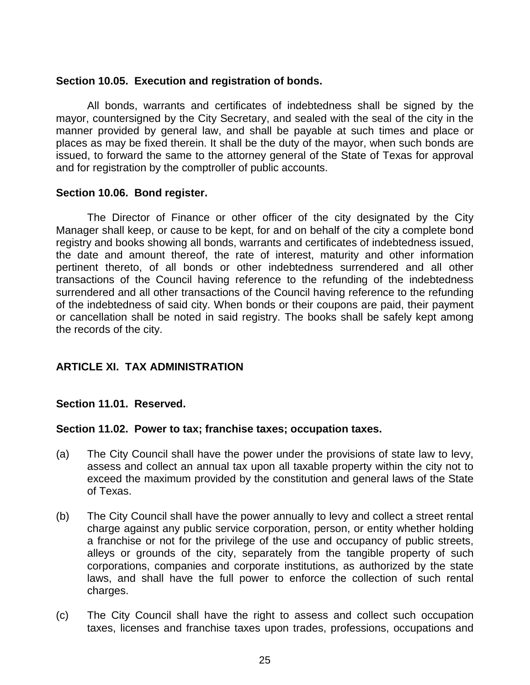## **Section 10.05. Execution and registration of bonds.**

All bonds, warrants and certificates of indebtedness shall be signed by the mayor, countersigned by the City Secretary, and sealed with the seal of the city in the manner provided by general law, and shall be payable at such times and place or places as may be fixed therein. It shall be the duty of the mayor, when such bonds are issued, to forward the same to the attorney general of the State of Texas for approval and for registration by the comptroller of public accounts.

## **Section 10.06. Bond register.**

The Director of Finance or other officer of the city designated by the City Manager shall keep, or cause to be kept, for and on behalf of the city a complete bond registry and books showing all bonds, warrants and certificates of indebtedness issued, the date and amount thereof, the rate of interest, maturity and other information pertinent thereto, of all bonds or other indebtedness surrendered and all other transactions of the Council having reference to the refunding of the indebtedness surrendered and all other transactions of the Council having reference to the refunding of the indebtedness of said city. When bonds or their coupons are paid, their payment or cancellation shall be noted in said registry. The books shall be safely kept among the records of the city.

## <span id="page-25-0"></span>**ARTICLE XI. TAX ADMINISTRATION**

## **Section 11.01. Reserved.**

## **Section 11.02. Power to tax; franchise taxes; occupation taxes.**

- (a) The City Council shall have the power under the provisions of state law to levy, assess and collect an annual tax upon all taxable property within the city not to exceed the maximum provided by the constitution and general laws of the State of Texas.
- (b) The City Council shall have the power annually to levy and collect a street rental charge against any public service corporation, person, or entity whether holding a franchise or not for the privilege of the use and occupancy of public streets, alleys or grounds of the city, separately from the tangible property of such corporations, companies and corporate institutions, as authorized by the state laws, and shall have the full power to enforce the collection of such rental charges.
- (c) The City Council shall have the right to assess and collect such occupation taxes, licenses and franchise taxes upon trades, professions, occupations and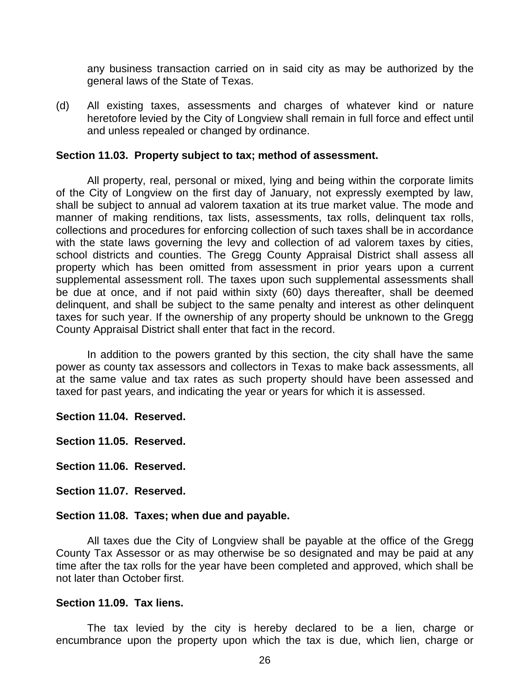any business transaction carried on in said city as may be authorized by the general laws of the State of Texas.

(d) All existing taxes, assessments and charges of whatever kind or nature heretofore levied by the City of Longview shall remain in full force and effect until and unless repealed or changed by ordinance.

#### **Section 11.03. Property subject to tax; method of assessment.**

All property, real, personal or mixed, lying and being within the corporate limits of the City of Longview on the first day of January, not expressly exempted by law, shall be subject to annual ad valorem taxation at its true market value. The mode and manner of making renditions, tax lists, assessments, tax rolls, delinquent tax rolls, collections and procedures for enforcing collection of such taxes shall be in accordance with the state laws governing the levy and collection of ad valorem taxes by cities, school districts and counties. The Gregg County Appraisal District shall assess all property which has been omitted from assessment in prior years upon a current supplemental assessment roll. The taxes upon such supplemental assessments shall be due at once, and if not paid within sixty (60) days thereafter, shall be deemed delinquent, and shall be subject to the same penalty and interest as other delinquent taxes for such year. If the ownership of any property should be unknown to the Gregg County Appraisal District shall enter that fact in the record.

In addition to the powers granted by this section, the city shall have the same power as county tax assessors and collectors in Texas to make back assessments, all at the same value and tax rates as such property should have been assessed and taxed for past years, and indicating the year or years for which it is assessed.

**Section 11.04. Reserved.**

**Section 11.05. Reserved.**

**Section 11.06. Reserved.**

**Section 11.07. Reserved.**

#### **Section 11.08. Taxes; when due and payable.**

All taxes due the City of Longview shall be payable at the office of the Gregg County Tax Assessor or as may otherwise be so designated and may be paid at any time after the tax rolls for the year have been completed and approved, which shall be not later than October first.

#### **Section 11.09. Tax liens.**

The tax levied by the city is hereby declared to be a lien, charge or encumbrance upon the property upon which the tax is due, which lien, charge or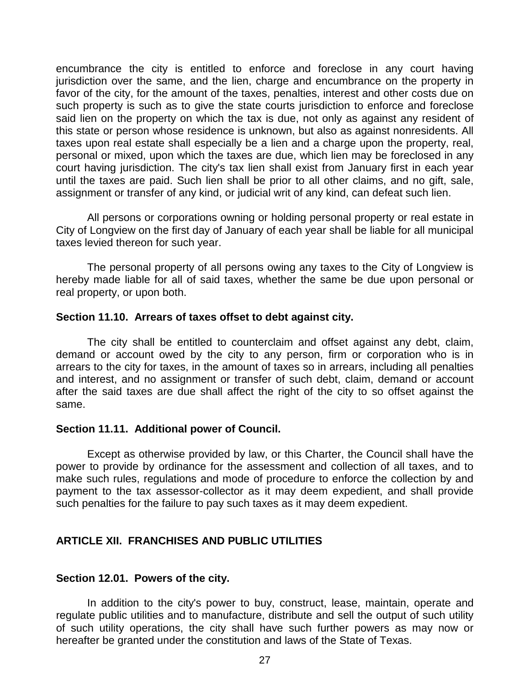encumbrance the city is entitled to enforce and foreclose in any court having jurisdiction over the same, and the lien, charge and encumbrance on the property in favor of the city, for the amount of the taxes, penalties, interest and other costs due on such property is such as to give the state courts jurisdiction to enforce and foreclose said lien on the property on which the tax is due, not only as against any resident of this state or person whose residence is unknown, but also as against nonresidents. All taxes upon real estate shall especially be a lien and a charge upon the property, real, personal or mixed, upon which the taxes are due, which lien may be foreclosed in any court having jurisdiction. The city's tax lien shall exist from January first in each year until the taxes are paid. Such lien shall be prior to all other claims, and no gift, sale, assignment or transfer of any kind, or judicial writ of any kind, can defeat such lien.

All persons or corporations owning or holding personal property or real estate in City of Longview on the first day of January of each year shall be liable for all municipal taxes levied thereon for such year.

The personal property of all persons owing any taxes to the City of Longview is hereby made liable for all of said taxes, whether the same be due upon personal or real property, or upon both.

#### **Section 11.10. Arrears of taxes offset to debt against city.**

The city shall be entitled to counterclaim and offset against any debt, claim, demand or account owed by the city to any person, firm or corporation who is in arrears to the city for taxes, in the amount of taxes so in arrears, including all penalties and interest, and no assignment or transfer of such debt, claim, demand or account after the said taxes are due shall affect the right of the city to so offset against the same.

## **Section 11.11. Additional power of Council.**

Except as otherwise provided by law, or this Charter, the Council shall have the power to provide by ordinance for the assessment and collection of all taxes, and to make such rules, regulations and mode of procedure to enforce the collection by and payment to the tax assessor-collector as it may deem expedient, and shall provide such penalties for the failure to pay such taxes as it may deem expedient.

## <span id="page-27-0"></span>**ARTICLE XII. FRANCHISES AND PUBLIC UTILITIES**

#### **Section 12.01. Powers of the city.**

In addition to the city's power to buy, construct, lease, maintain, operate and regulate public utilities and to manufacture, distribute and sell the output of such utility of such utility operations, the city shall have such further powers as may now or hereafter be granted under the constitution and laws of the State of Texas.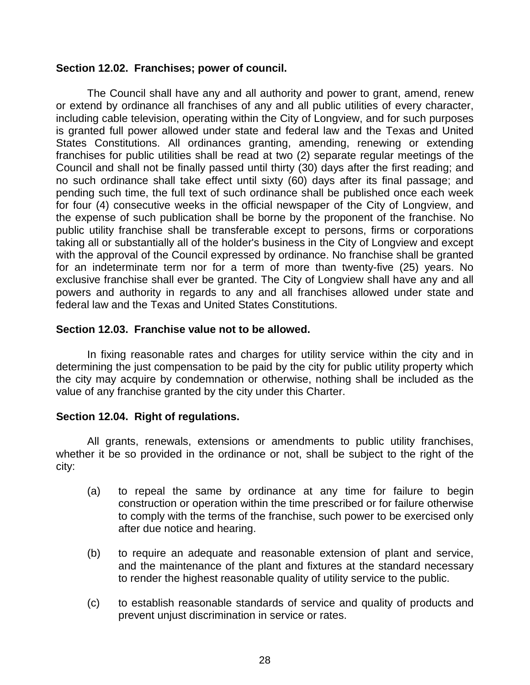## **Section 12.02. Franchises; power of council.**

The Council shall have any and all authority and power to grant, amend, renew or extend by ordinance all franchises of any and all public utilities of every character, including cable television, operating within the City of Longview, and for such purposes is granted full power allowed under state and federal law and the Texas and United States Constitutions. All ordinances granting, amending, renewing or extending franchises for public utilities shall be read at two (2) separate regular meetings of the Council and shall not be finally passed until thirty (30) days after the first reading; and no such ordinance shall take effect until sixty (60) days after its final passage; and pending such time, the full text of such ordinance shall be published once each week for four (4) consecutive weeks in the official newspaper of the City of Longview, and the expense of such publication shall be borne by the proponent of the franchise. No public utility franchise shall be transferable except to persons, firms or corporations taking all or substantially all of the holder's business in the City of Longview and except with the approval of the Council expressed by ordinance. No franchise shall be granted for an indeterminate term nor for a term of more than twenty-five (25) years. No exclusive franchise shall ever be granted. The City of Longview shall have any and all powers and authority in regards to any and all franchises allowed under state and federal law and the Texas and United States Constitutions.

## **Section 12.03. Franchise value not to be allowed.**

In fixing reasonable rates and charges for utility service within the city and in determining the just compensation to be paid by the city for public utility property which the city may acquire by condemnation or otherwise, nothing shall be included as the value of any franchise granted by the city under this Charter.

## **Section 12.04. Right of regulations.**

All grants, renewals, extensions or amendments to public utility franchises, whether it be so provided in the ordinance or not, shall be subject to the right of the city:

- (a) to repeal the same by ordinance at any time for failure to begin construction or operation within the time prescribed or for failure otherwise to comply with the terms of the franchise, such power to be exercised only after due notice and hearing.
- (b) to require an adequate and reasonable extension of plant and service, and the maintenance of the plant and fixtures at the standard necessary to render the highest reasonable quality of utility service to the public.
- (c) to establish reasonable standards of service and quality of products and prevent unjust discrimination in service or rates.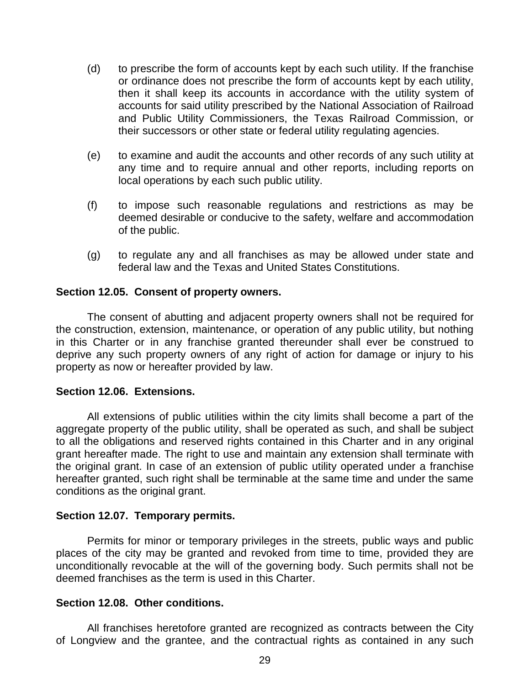- (d) to prescribe the form of accounts kept by each such utility. If the franchise or ordinance does not prescribe the form of accounts kept by each utility, then it shall keep its accounts in accordance with the utility system of accounts for said utility prescribed by the National Association of Railroad and Public Utility Commissioners, the Texas Railroad Commission, or their successors or other state or federal utility regulating agencies.
- (e) to examine and audit the accounts and other records of any such utility at any time and to require annual and other reports, including reports on local operations by each such public utility.
- (f) to impose such reasonable regulations and restrictions as may be deemed desirable or conducive to the safety, welfare and accommodation of the public.
- (g) to regulate any and all franchises as may be allowed under state and federal law and the Texas and United States Constitutions.

## **Section 12.05. Consent of property owners.**

The consent of abutting and adjacent property owners shall not be required for the construction, extension, maintenance, or operation of any public utility, but nothing in this Charter or in any franchise granted thereunder shall ever be construed to deprive any such property owners of any right of action for damage or injury to his property as now or hereafter provided by law.

## **Section 12.06. Extensions.**

All extensions of public utilities within the city limits shall become a part of the aggregate property of the public utility, shall be operated as such, and shall be subject to all the obligations and reserved rights contained in this Charter and in any original grant hereafter made. The right to use and maintain any extension shall terminate with the original grant. In case of an extension of public utility operated under a franchise hereafter granted, such right shall be terminable at the same time and under the same conditions as the original grant.

## **Section 12.07. Temporary permits.**

Permits for minor or temporary privileges in the streets, public ways and public places of the city may be granted and revoked from time to time, provided they are unconditionally revocable at the will of the governing body. Such permits shall not be deemed franchises as the term is used in this Charter.

## **Section 12.08. Other conditions.**

All franchises heretofore granted are recognized as contracts between the City of Longview and the grantee, and the contractual rights as contained in any such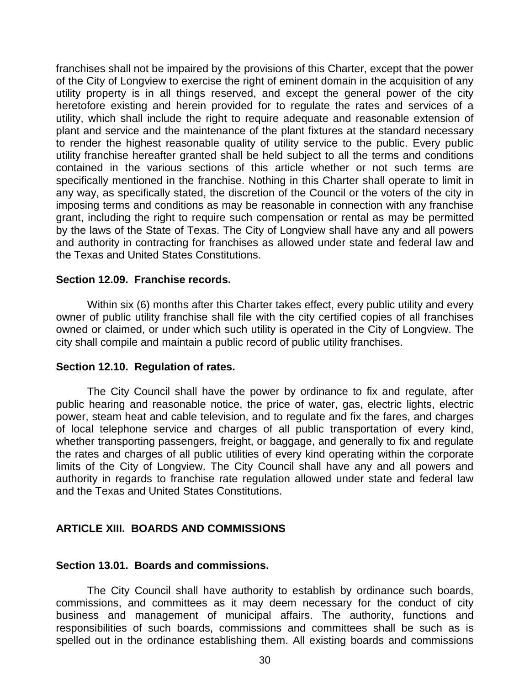franchises shall not be impaired by the provisions of this Charter, except that the power of the City of Longview to exercise the right of eminent domain in the acquisition of any utility property is in all things reserved, and except the general power of the city heretofore existing and herein provided for to regulate the rates and services of a utility, which shall include the right to require adequate and reasonable extension of plant and service and the maintenance of the plant fixtures at the standard necessary to render the highest reasonable quality of utility service to the public. Every public utility franchise hereafter granted shall be held subject to all the terms and conditions contained in the various sections of this article whether or not such terms are specifically mentioned in the franchise. Nothing in this Charter shall operate to limit in any way, as specifically stated, the discretion of the Council or the voters of the city in imposing terms and conditions as may be reasonable in connection with any franchise grant, including the right to require such compensation or rental as may be permitted by the laws of the State of Texas. The City of Longview shall have any and all powers and authority in contracting for franchises as allowed under state and federal law and the Texas and United States Constitutions.

## **Section 12.09. Franchise records.**

Within six (6) months after this Charter takes effect, every public utility and every owner of public utility franchise shall file with the city certified copies of all franchises owned or claimed, or under which such utility is operated in the City of Longview. The city shall compile and maintain a public record of public utility franchises.

## **Section 12.10. Regulation of rates.**

The City Council shall have the power by ordinance to fix and regulate, after public hearing and reasonable notice, the price of water, gas, electric lights, electric power, steam heat and cable television, and to regulate and fix the fares, and charges of local telephone service and charges of all public transportation of every kind, whether transporting passengers, freight, or baggage, and generally to fix and regulate the rates and charges of all public utilities of every kind operating within the corporate limits of the City of Longview. The City Council shall have any and all powers and authority in regards to franchise rate regulation allowed under state and federal law and the Texas and United States Constitutions.

## <span id="page-30-0"></span>**ARTICLE XIII. BOARDS AND COMMISSIONS**

#### **Section 13.01. Boards and commissions.**

The City Council shall have authority to establish by ordinance such boards, commissions, and committees as it may deem necessary for the conduct of city business and management of municipal affairs. The authority, functions and responsibilities of such boards, commissions and committees shall be such as is spelled out in the ordinance establishing them. All existing boards and commissions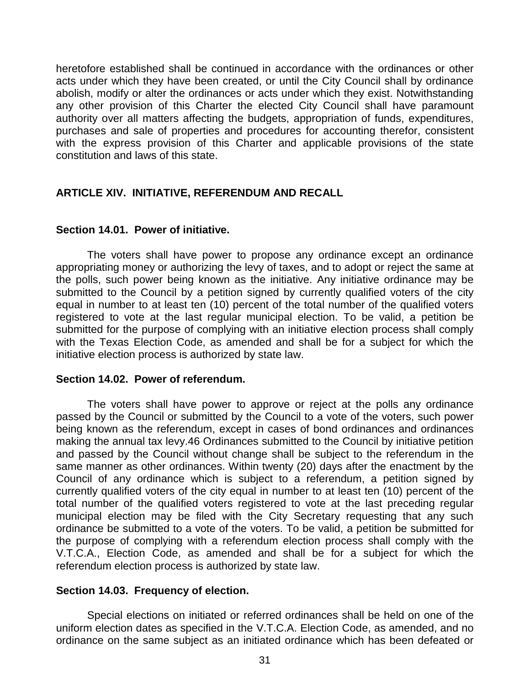heretofore established shall be continued in accordance with the ordinances or other acts under which they have been created, or until the City Council shall by ordinance abolish, modify or alter the ordinances or acts under which they exist. Notwithstanding any other provision of this Charter the elected City Council shall have paramount authority over all matters affecting the budgets, appropriation of funds, expenditures, purchases and sale of properties and procedures for accounting therefor, consistent with the express provision of this Charter and applicable provisions of the state constitution and laws of this state.

## <span id="page-31-0"></span>**ARTICLE XIV. INITIATIVE, REFERENDUM AND RECALL**

## **Section 14.01. Power of initiative.**

The voters shall have power to propose any ordinance except an ordinance appropriating money or authorizing the levy of taxes, and to adopt or reject the same at the polls, such power being known as the initiative. Any initiative ordinance may be submitted to the Council by a petition signed by currently qualified voters of the city equal in number to at least ten (10) percent of the total number of the qualified voters registered to vote at the last regular municipal election. To be valid, a petition be submitted for the purpose of complying with an initiative election process shall comply with the Texas Election Code, as amended and shall be for a subject for which the initiative election process is authorized by state law.

## **Section 14.02. Power of referendum.**

The voters shall have power to approve or reject at the polls any ordinance passed by the Council or submitted by the Council to a vote of the voters, such power being known as the referendum, except in cases of bond ordinances and ordinances making the annual tax levy.46 Ordinances submitted to the Council by initiative petition and passed by the Council without change shall be subject to the referendum in the same manner as other ordinances. Within twenty (20) days after the enactment by the Council of any ordinance which is subject to a referendum, a petition signed by currently qualified voters of the city equal in number to at least ten (10) percent of the total number of the qualified voters registered to vote at the last preceding regular municipal election may be filed with the City Secretary requesting that any such ordinance be submitted to a vote of the voters. To be valid, a petition be submitted for the purpose of complying with a referendum election process shall comply with the V.T.C.A., Election Code, as amended and shall be for a subject for which the referendum election process is authorized by state law.

## **Section 14.03. Frequency of election.**

Special elections on initiated or referred ordinances shall be held on one of the uniform election dates as specified in the V.T.C.A. Election Code, as amended, and no ordinance on the same subject as an initiated ordinance which has been defeated or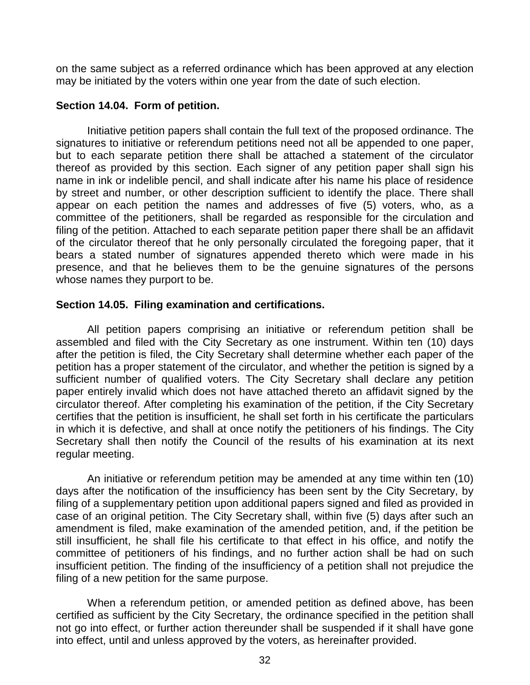on the same subject as a referred ordinance which has been approved at any election may be initiated by the voters within one year from the date of such election.

## **Section 14.04. Form of petition.**

Initiative petition papers shall contain the full text of the proposed ordinance. The signatures to initiative or referendum petitions need not all be appended to one paper, but to each separate petition there shall be attached a statement of the circulator thereof as provided by this section. Each signer of any petition paper shall sign his name in ink or indelible pencil, and shall indicate after his name his place of residence by street and number, or other description sufficient to identify the place. There shall appear on each petition the names and addresses of five (5) voters, who, as a committee of the petitioners, shall be regarded as responsible for the circulation and filing of the petition. Attached to each separate petition paper there shall be an affidavit of the circulator thereof that he only personally circulated the foregoing paper, that it bears a stated number of signatures appended thereto which were made in his presence, and that he believes them to be the genuine signatures of the persons whose names they purport to be.

## **Section 14.05. Filing examination and certifications.**

All petition papers comprising an initiative or referendum petition shall be assembled and filed with the City Secretary as one instrument. Within ten (10) days after the petition is filed, the City Secretary shall determine whether each paper of the petition has a proper statement of the circulator, and whether the petition is signed by a sufficient number of qualified voters. The City Secretary shall declare any petition paper entirely invalid which does not have attached thereto an affidavit signed by the circulator thereof. After completing his examination of the petition, if the City Secretary certifies that the petition is insufficient, he shall set forth in his certificate the particulars in which it is defective, and shall at once notify the petitioners of his findings. The City Secretary shall then notify the Council of the results of his examination at its next regular meeting.

An initiative or referendum petition may be amended at any time within ten (10) days after the notification of the insufficiency has been sent by the City Secretary, by filing of a supplementary petition upon additional papers signed and filed as provided in case of an original petition. The City Secretary shall, within five (5) days after such an amendment is filed, make examination of the amended petition, and, if the petition be still insufficient, he shall file his certificate to that effect in his office, and notify the committee of petitioners of his findings, and no further action shall be had on such insufficient petition. The finding of the insufficiency of a petition shall not prejudice the filing of a new petition for the same purpose.

When a referendum petition, or amended petition as defined above, has been certified as sufficient by the City Secretary, the ordinance specified in the petition shall not go into effect, or further action thereunder shall be suspended if it shall have gone into effect, until and unless approved by the voters, as hereinafter provided.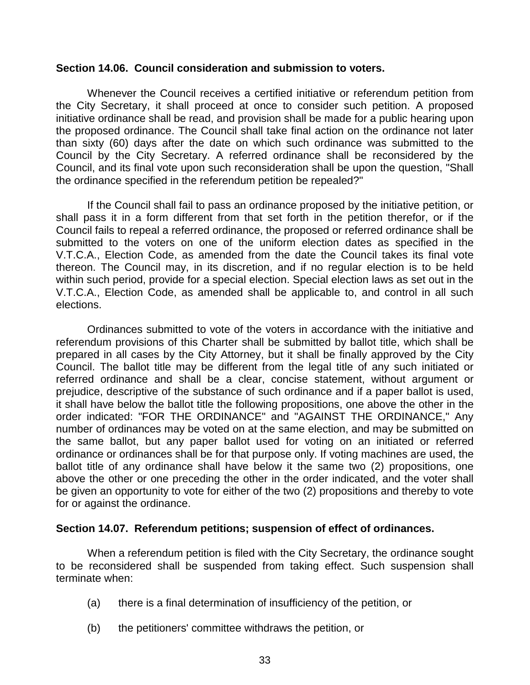#### **Section 14.06. Council consideration and submission to voters.**

Whenever the Council receives a certified initiative or referendum petition from the City Secretary, it shall proceed at once to consider such petition. A proposed initiative ordinance shall be read, and provision shall be made for a public hearing upon the proposed ordinance. The Council shall take final action on the ordinance not later than sixty (60) days after the date on which such ordinance was submitted to the Council by the City Secretary. A referred ordinance shall be reconsidered by the Council, and its final vote upon such reconsideration shall be upon the question, "Shall the ordinance specified in the referendum petition be repealed?"

If the Council shall fail to pass an ordinance proposed by the initiative petition, or shall pass it in a form different from that set forth in the petition therefor, or if the Council fails to repeal a referred ordinance, the proposed or referred ordinance shall be submitted to the voters on one of the uniform election dates as specified in the V.T.C.A., Election Code, as amended from the date the Council takes its final vote thereon. The Council may, in its discretion, and if no regular election is to be held within such period, provide for a special election. Special election laws as set out in the V.T.C.A., Election Code, as amended shall be applicable to, and control in all such elections.

Ordinances submitted to vote of the voters in accordance with the initiative and referendum provisions of this Charter shall be submitted by ballot title, which shall be prepared in all cases by the City Attorney, but it shall be finally approved by the City Council. The ballot title may be different from the legal title of any such initiated or referred ordinance and shall be a clear, concise statement, without argument or prejudice, descriptive of the substance of such ordinance and if a paper ballot is used, it shall have below the ballot title the following propositions, one above the other in the order indicated: "FOR THE ORDINANCE" and "AGAINST THE ORDINANCE," Any number of ordinances may be voted on at the same election, and may be submitted on the same ballot, but any paper ballot used for voting on an initiated or referred ordinance or ordinances shall be for that purpose only. If voting machines are used, the ballot title of any ordinance shall have below it the same two (2) propositions, one above the other or one preceding the other in the order indicated, and the voter shall be given an opportunity to vote for either of the two (2) propositions and thereby to vote for or against the ordinance.

## **Section 14.07. Referendum petitions; suspension of effect of ordinances.**

When a referendum petition is filed with the City Secretary, the ordinance sought to be reconsidered shall be suspended from taking effect. Such suspension shall terminate when:

- (a) there is a final determination of insufficiency of the petition, or
- (b) the petitioners' committee withdraws the petition, or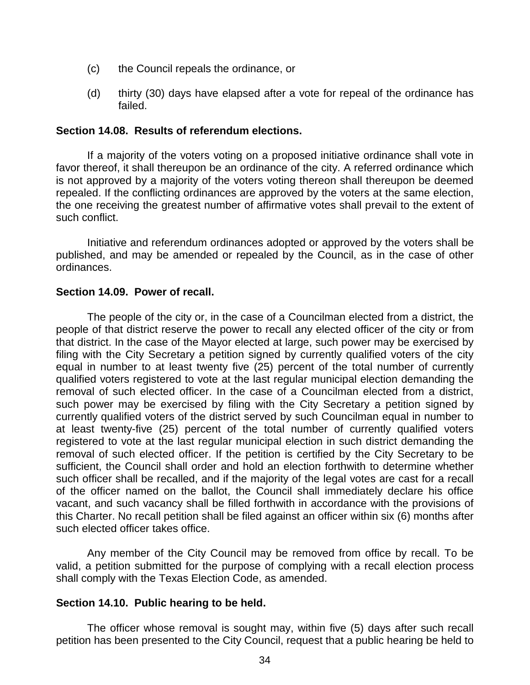- (c) the Council repeals the ordinance, or
- (d) thirty (30) days have elapsed after a vote for repeal of the ordinance has failed.

#### **Section 14.08. Results of referendum elections.**

If a majority of the voters voting on a proposed initiative ordinance shall vote in favor thereof, it shall thereupon be an ordinance of the city. A referred ordinance which is not approved by a majority of the voters voting thereon shall thereupon be deemed repealed. If the conflicting ordinances are approved by the voters at the same election, the one receiving the greatest number of affirmative votes shall prevail to the extent of such conflict.

Initiative and referendum ordinances adopted or approved by the voters shall be published, and may be amended or repealed by the Council, as in the case of other ordinances.

#### **Section 14.09. Power of recall.**

The people of the city or, in the case of a Councilman elected from a district, the people of that district reserve the power to recall any elected officer of the city or from that district. In the case of the Mayor elected at large, such power may be exercised by filing with the City Secretary a petition signed by currently qualified voters of the city equal in number to at least twenty five (25) percent of the total number of currently qualified voters registered to vote at the last regular municipal election demanding the removal of such elected officer. In the case of a Councilman elected from a district, such power may be exercised by filing with the City Secretary a petition signed by currently qualified voters of the district served by such Councilman equal in number to at least twenty-five (25) percent of the total number of currently qualified voters registered to vote at the last regular municipal election in such district demanding the removal of such elected officer. If the petition is certified by the City Secretary to be sufficient, the Council shall order and hold an election forthwith to determine whether such officer shall be recalled, and if the majority of the legal votes are cast for a recall of the officer named on the ballot, the Council shall immediately declare his office vacant, and such vacancy shall be filled forthwith in accordance with the provisions of this Charter. No recall petition shall be filed against an officer within six (6) months after such elected officer takes office.

Any member of the City Council may be removed from office by recall. To be valid, a petition submitted for the purpose of complying with a recall election process shall comply with the Texas Election Code, as amended.

## **Section 14.10. Public hearing to be held.**

The officer whose removal is sought may, within five (5) days after such recall petition has been presented to the City Council, request that a public hearing be held to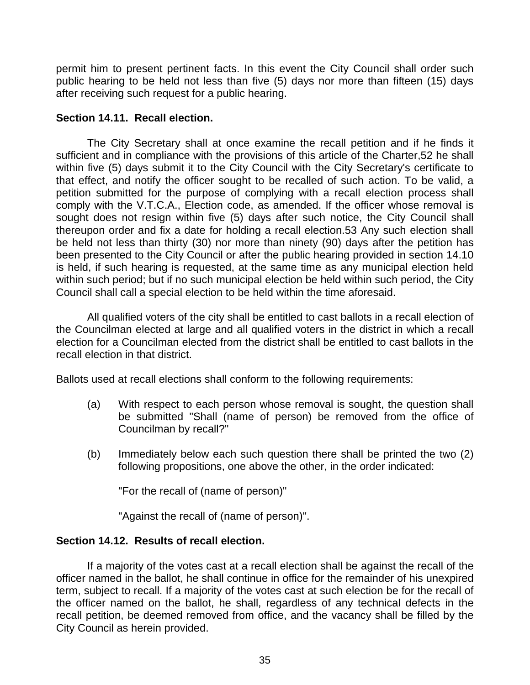permit him to present pertinent facts. In this event the City Council shall order such public hearing to be held not less than five (5) days nor more than fifteen (15) days after receiving such request for a public hearing.

## **Section 14.11. Recall election.**

The City Secretary shall at once examine the recall petition and if he finds it sufficient and in compliance with the provisions of this article of the Charter,52 he shall within five (5) days submit it to the City Council with the City Secretary's certificate to that effect, and notify the officer sought to be recalled of such action. To be valid, a petition submitted for the purpose of complying with a recall election process shall comply with the V.T.C.A., Election code, as amended. If the officer whose removal is sought does not resign within five (5) days after such notice, the City Council shall thereupon order and fix a date for holding a recall election.53 Any such election shall be held not less than thirty (30) nor more than ninety (90) days after the petition has been presented to the City Council or after the public hearing provided in section 14.10 is held, if such hearing is requested, at the same time as any municipal election held within such period; but if no such municipal election be held within such period, the City Council shall call a special election to be held within the time aforesaid.

All qualified voters of the city shall be entitled to cast ballots in a recall election of the Councilman elected at large and all qualified voters in the district in which a recall election for a Councilman elected from the district shall be entitled to cast ballots in the recall election in that district.

Ballots used at recall elections shall conform to the following requirements:

- (a) With respect to each person whose removal is sought, the question shall be submitted "Shall (name of person) be removed from the office of Councilman by recall?"
- (b) Immediately below each such question there shall be printed the two (2) following propositions, one above the other, in the order indicated:

"For the recall of (name of person)"

"Against the recall of (name of person)".

## **Section 14.12. Results of recall election.**

If a majority of the votes cast at a recall election shall be against the recall of the officer named in the ballot, he shall continue in office for the remainder of his unexpired term, subject to recall. If a majority of the votes cast at such election be for the recall of the officer named on the ballot, he shall, regardless of any technical defects in the recall petition, be deemed removed from office, and the vacancy shall be filled by the City Council as herein provided.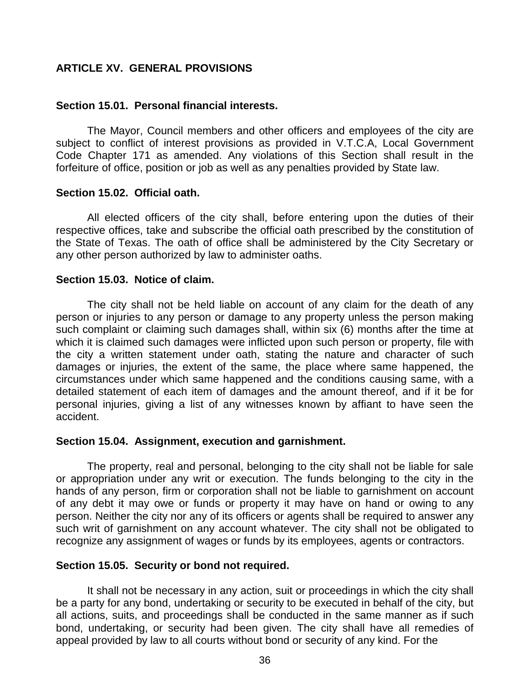## <span id="page-36-0"></span>**ARTICLE XV. GENERAL PROVISIONS**

#### **Section 15.01. Personal financial interests.**

The Mayor, Council members and other officers and employees of the city are subject to conflict of interest provisions as provided in V.T.C.A, Local Government Code Chapter 171 as amended. Any violations of this Section shall result in the forfeiture of office, position or job as well as any penalties provided by State law.

#### **Section 15.02. Official oath.**

All elected officers of the city shall, before entering upon the duties of their respective offices, take and subscribe the official oath prescribed by the constitution of the State of Texas. The oath of office shall be administered by the City Secretary or any other person authorized by law to administer oaths.

#### **Section 15.03. Notice of claim.**

The city shall not be held liable on account of any claim for the death of any person or injuries to any person or damage to any property unless the person making such complaint or claiming such damages shall, within six (6) months after the time at which it is claimed such damages were inflicted upon such person or property, file with the city a written statement under oath, stating the nature and character of such damages or injuries, the extent of the same, the place where same happened, the circumstances under which same happened and the conditions causing same, with a detailed statement of each item of damages and the amount thereof, and if it be for personal injuries, giving a list of any witnesses known by affiant to have seen the accident.

## **Section 15.04. Assignment, execution and garnishment.**

The property, real and personal, belonging to the city shall not be liable for sale or appropriation under any writ or execution. The funds belonging to the city in the hands of any person, firm or corporation shall not be liable to garnishment on account of any debt it may owe or funds or property it may have on hand or owing to any person. Neither the city nor any of its officers or agents shall be required to answer any such writ of garnishment on any account whatever. The city shall not be obligated to recognize any assignment of wages or funds by its employees, agents or contractors.

## **Section 15.05. Security or bond not required.**

It shall not be necessary in any action, suit or proceedings in which the city shall be a party for any bond, undertaking or security to be executed in behalf of the city, but all actions, suits, and proceedings shall be conducted in the same manner as if such bond, undertaking, or security had been given. The city shall have all remedies of appeal provided by law to all courts without bond or security of any kind. For the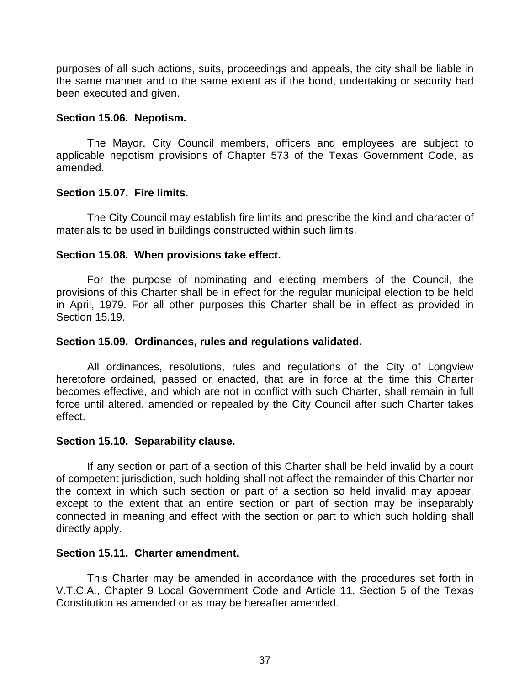purposes of all such actions, suits, proceedings and appeals, the city shall be liable in the same manner and to the same extent as if the bond, undertaking or security had been executed and given.

## **Section 15.06. Nepotism.**

The Mayor, City Council members, officers and employees are subject to applicable nepotism provisions of Chapter 573 of the Texas Government Code, as amended.

## **Section 15.07. Fire limits.**

The City Council may establish fire limits and prescribe the kind and character of materials to be used in buildings constructed within such limits.

## **Section 15.08. When provisions take effect.**

For the purpose of nominating and electing members of the Council, the provisions of this Charter shall be in effect for the regular municipal election to be held in April, 1979. For all other purposes this Charter shall be in effect as provided in Section 15.19.

## **Section 15.09. Ordinances, rules and regulations validated.**

All ordinances, resolutions, rules and regulations of the City of Longview heretofore ordained, passed or enacted, that are in force at the time this Charter becomes effective, and which are not in conflict with such Charter, shall remain in full force until altered, amended or repealed by the City Council after such Charter takes effect.

## **Section 15.10. Separability clause.**

If any section or part of a section of this Charter shall be held invalid by a court of competent jurisdiction, such holding shall not affect the remainder of this Charter nor the context in which such section or part of a section so held invalid may appear, except to the extent that an entire section or part of section may be inseparably connected in meaning and effect with the section or part to which such holding shall directly apply.

## **Section 15.11. Charter amendment.**

This Charter may be amended in accordance with the procedures set forth in V.T.C.A., Chapter 9 Local Government Code and Article 11, Section 5 of the Texas Constitution as amended or as may be hereafter amended.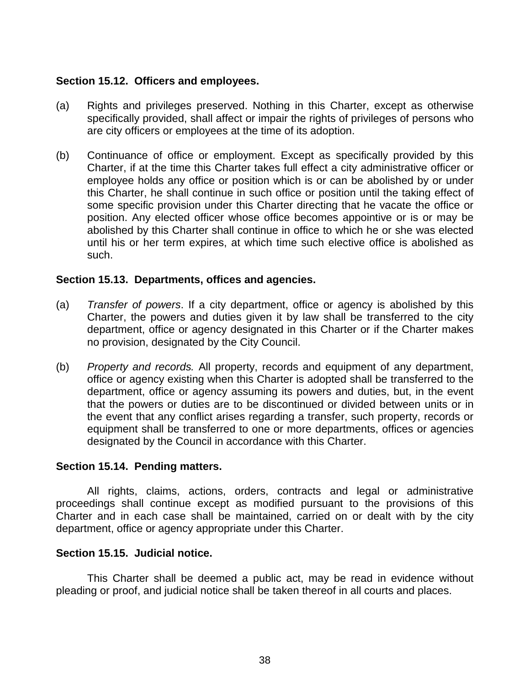## **Section 15.12. Officers and employees.**

- (a) Rights and privileges preserved. Nothing in this Charter, except as otherwise specifically provided, shall affect or impair the rights of privileges of persons who are city officers or employees at the time of its adoption.
- (b) Continuance of office or employment. Except as specifically provided by this Charter, if at the time this Charter takes full effect a city administrative officer or employee holds any office or position which is or can be abolished by or under this Charter, he shall continue in such office or position until the taking effect of some specific provision under this Charter directing that he vacate the office or position. Any elected officer whose office becomes appointive or is or may be abolished by this Charter shall continue in office to which he or she was elected until his or her term expires, at which time such elective office is abolished as such.

## **Section 15.13. Departments, offices and agencies.**

- (a) *Transfer of powers*. If a city department, office or agency is abolished by this Charter, the powers and duties given it by law shall be transferred to the city department, office or agency designated in this Charter or if the Charter makes no provision, designated by the City Council.
- (b) *Property and records.* All property, records and equipment of any department, office or agency existing when this Charter is adopted shall be transferred to the department, office or agency assuming its powers and duties, but, in the event that the powers or duties are to be discontinued or divided between units or in the event that any conflict arises regarding a transfer, such property, records or equipment shall be transferred to one or more departments, offices or agencies designated by the Council in accordance with this Charter.

## **Section 15.14. Pending matters.**

All rights, claims, actions, orders, contracts and legal or administrative proceedings shall continue except as modified pursuant to the provisions of this Charter and in each case shall be maintained, carried on or dealt with by the city department, office or agency appropriate under this Charter.

## **Section 15.15. Judicial notice.**

This Charter shall be deemed a public act, may be read in evidence without pleading or proof, and judicial notice shall be taken thereof in all courts and places.